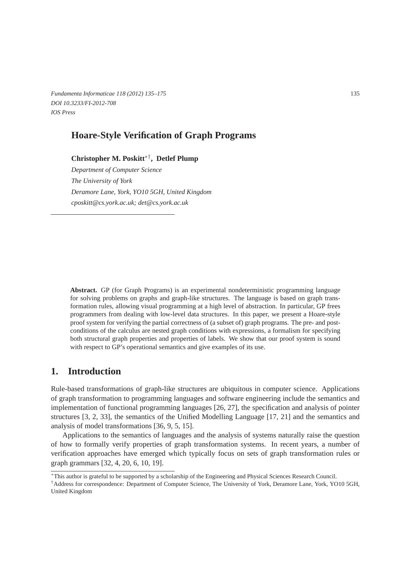*Fundamenta Informaticae 118 (2012) 135–175* 135 *DOI 10.3233/FI-2012-708 IOS Press*

# **Hoare-Style Verification of Graph Programs**

**Christopher M. Poskitt**∗†**, Detlef Plump**

*Department of Computer Science The University of York Deramore Lane, York, YO10 5GH, United Kingdom cposkitt@cs.york.ac.uk; det@cs.york.ac.uk*

**Abstract.** GP (for Graph Programs) is an experimental nondeterministic programming language for solving problems on graphs and graph-like structures. The language is based on graph transformation rules, allowing visual programming at a high level of abstraction. In particular, GP frees programmers from dealing with low-level data structures. In this paper, we present a Hoare-style proof system for verifying the partial correctness of (a subset of) graph programs. The pre- and postconditions of the calculus are nested graph conditions with expressions, a formalism for specifying both structural graph properties and properties of labels. We show that our proof system is sound with respect to GP's operational semantics and give examples of its use.

# **1. Introduction**

Rule-based transformations of graph-like structures are ubiquitous in computer science. Applications of graph transformation to programming languages and software engineering include the semantics and implementation of functional programming languages [26, 27], the specification and analysis of pointer structures [3, 2, 33], the semantics of the Unified Modelling Language [17, 21] and the semantics and analysis of model transformations [36, 9, 5, 15].

Applications to the semantics of languages and the analysis of systems naturally raise the question of how to formally verify properties of graph transformation systems. In recent years, a number of verification approaches have emerged which typically focus on sets of graph transformation rules or graph grammars [32, 4, 20, 6, 10, 19].

<sup>∗</sup>This author is grateful to be supported by a scholarship of the Engineering and Physical Sciences Research Council.

<sup>†</sup>Address for correspondence: Department of Computer Science, The University of York, Deramore Lane, York, YO10 5GH, United Kingdom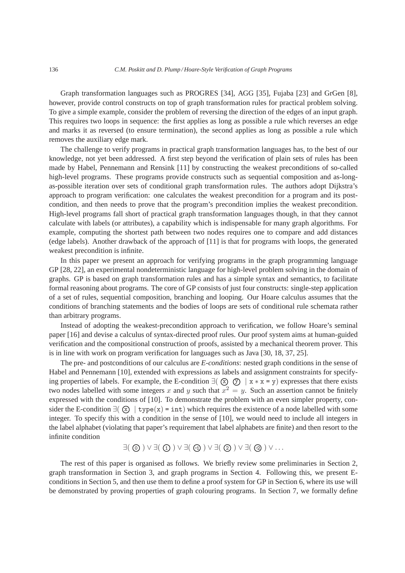Graph transformation languages such as PROGRES [34], AGG [35], Fujaba [23] and GrGen [8], however, provide control constructs on top of graph transformation rules for practical problem solving. To give a simple example, consider the problem of reversing the direction of the edges of an input graph. This requires two loops in sequence: the first applies as long as possible a rule which reverses an edge and marks it as reversed (to ensure termination), the second applies as long as possible a rule which removes the auxiliary edge mark.

The challenge to verify programs in practical graph transformation languages has, to the best of our knowledge, not yet been addressed. A first step beyond the verification of plain sets of rules has been made by Habel, Pennemann and Rensink [11] by constructing the weakest preconditions of so-called high-level programs. These programs provide constructs such as sequential composition and as-longas-possible iteration over sets of conditional graph transformation rules. The authors adopt Dijkstra's approach to program verification: one calculates the weakest precondition for a program and its postcondition, and then needs to prove that the program's precondition implies the weakest precondition. High-level programs fall short of practical graph transformation languages though, in that they cannot calculate with labels (or attributes), a capability which is indispensable for many graph algorithms. For example, computing the shortest path between two nodes requires one to compare and add distances (edge labels). Another drawback of the approach of [11] is that for programs with loops, the generated weakest precondition is infinite.

In this paper we present an approach for verifying programs in the graph programming language GP [28, 22], an experimental nondeterministic language for high-level problem solving in the domain of graphs. GP is based on graph transformation rules and has a simple syntax and semantics, to facilitate formal reasoning about programs. The core of GP consists of just four constructs: single-step application of a set of rules, sequential composition, branching and looping. Our Hoare calculus assumes that the conditions of branching statements and the bodies of loops are sets of conditional rule schemata rather than arbitrary programs.

Instead of adopting the weakest-precondition approach to verification, we follow Hoare's seminal paper [16] and devise a calculus of syntax-directed proof rules. Our proof system aims at human-guided verification and the compositional construction of proofs, assisted by a mechanical theorem prover. This is in line with work on program verification for languages such as Java [30, 18, 37, 25].

The pre- and postconditions of our calculus are *E-conditions*: nested graph conditions in the sense of Habel and Pennemann [10], extended with expressions as labels and assignment constraints for specifying properties of labels. For example, the E-condition  $\exists (\alpha)$   $(\overline{x})$   $\vert x * x = y$  expresses that there exists two nodes labelled with some integers x and y such that  $x^2 = y$ . Such an assertion cannot be finitely expressed with the conditions of [10]. To demonstrate the problem with an even simpler property, consider the E-condition  $\exists (\mathbf{x}) \mid \text{type}(\mathbf{x}) = \text{int}$  which requires the existence of a node labelled with some integer. To specify this with a condition in the sense of [10], we would need to include all integers in the label alphabet (violating that paper's requirement that label alphabets are finite) and then resort to the infinite condition

$$
\exists (\text{ }(\text{ }0 \text{ })) \vee \exists (\text{ }(\text{ }0 \text{ })) \vee \exists (\text{ }(\text{ }0 \text{ })) \vee \exists (\text{ }(\text{ }0 \text{ })) \vee \exists (\text{ }(\text{ }0 \text{ })) \vee \ldots
$$

The rest of this paper is organised as follows. We briefly review some preliminaries in Section 2, graph transformation in Section 3, and graph programs in Section 4. Following this, we present Econditions in Section 5, and then use them to define a proof system for GP in Section 6, where its use will be demonstrated by proving properties of graph colouring programs. In Section 7, we formally define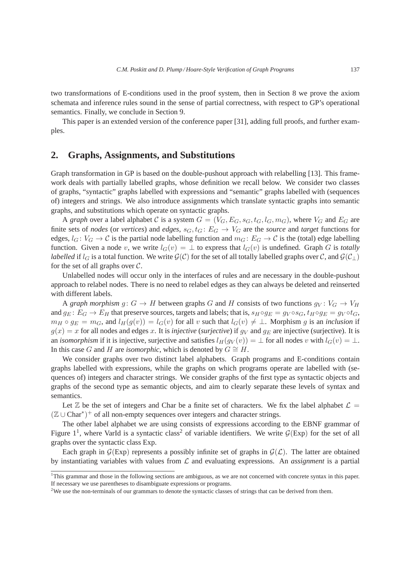two transformations of E-conditions used in the proof system, then in Section 8 we prove the axiom schemata and inference rules sound in the sense of partial correctness, with respect to GP's operational semantics. Finally, we conclude in Section 9.

This paper is an extended version of the conference paper [31], adding full proofs, and further examples.

# **2. Graphs, Assignments, and Substitutions**

Graph transformation in GP is based on the double-pushout approach with relabelling [13]. This framework deals with partially labelled graphs, whose definition we recall below. We consider two classes of graphs, "syntactic" graphs labelled with expressions and "semantic" graphs labelled with (sequences of) integers and strings. We also introduce assignments which translate syntactic graphs into semantic graphs, and substitutions which operate on syntactic graphs.

A *graph* over a label alphabet C is a system  $G = (V_G, E_G, s_G, t_G, l_G, m_G)$ , where  $V_G$  and  $E_G$  are finite sets of *nodes* (or *vertices*) and *edges*,  $s_G, t_G : E_G \to V_G$  are the *source* and *target* functions for edges,  $l_G: V_G \to C$  is the partial node labelling function and  $m_G: E_G \to C$  is the (total) edge labelling function. Given a node v, we write  $l_G(v) = \perp$  to express that  $l_G(v)$  is undefined. Graph G is *totally labelled* if  $l_G$  is a total function. We write  $\mathcal{G}(\mathcal{C})$  for the set of all totally labelled graphs over  $\mathcal{C}$ , and  $\mathcal{G}(\mathcal{C}_\perp)$ for the set of all graphs over  $C$ .

Unlabelled nodes will occur only in the interfaces of rules and are necessary in the double-pushout approach to relabel nodes. There is no need to relabel edges as they can always be deleted and reinserted with different labels.

A *graph morphism*  $g: G \to H$  between graphs G and H consists of two functions  $g_V: V_G \to V_H$ and  $g_E: E_G \to E_H$  that preserve sources, targets and labels; that is,  $s_H \circ g_E = g_V \circ s_G$ ,  $t_H \circ g_E = g_V \circ t_G$ ,  $m_H \circ g_E = m_G$ , and  $l_H(g(v)) = l_G(v)$  for all v such that  $l_G(v) \neq \perp$ . Morphism g is an *inclusion* if  $g(x) = x$  for all nodes and edges x. It is *injective* (*surjective*) if  $g_V$  and  $g_E$  are injective (*surjective*). It is an *isomorphism* if it is injective, surjective and satisfies  $l_H(g_V(v)) = \perp$  for all nodes v with  $l_G(v) = \perp$ . In this case G and H are *isomorphic*, which is denoted by  $G \cong H$ .

We consider graphs over two distinct label alphabets. Graph programs and E-conditions contain graphs labelled with expressions, while the graphs on which programs operate are labelled with (sequences of) integers and character strings. We consider graphs of the first type as syntactic objects and graphs of the second type as semantic objects, and aim to clearly separate these levels of syntax and semantics.

Let  $\mathbb Z$  be the set of integers and Char be a finite set of characters. We fix the label alphabet  $\mathcal L$  = (Z ∪ Char<sup>∗</sup> ) <sup>+</sup> of all non-empty sequences over integers and character strings.

The other label alphabet we are using consists of expressions according to the EBNF grammar of Figure  $1^1$ , where VarId is a syntactic class<sup>2</sup> of variable identifiers. We write  $\mathcal{G}(Exp)$  for the set of all graphs over the syntactic class Exp.

Each graph in  $\mathcal{G}(Exp)$  represents a possibly infinite set of graphs in  $\mathcal{G}(\mathcal{L})$ . The latter are obtained by instantiating variables with values from L and evaluating expressions. An *assignment* is a partial

<sup>&</sup>lt;sup>1</sup>This grammar and those in the following sections are ambiguous, as we are not concerned with concrete syntax in this paper. If necessary we use parentheses to disambiguate expressions or programs.

<sup>&</sup>lt;sup>2</sup>We use the non-terminals of our grammars to denote the syntactic classes of strings that can be derived from them.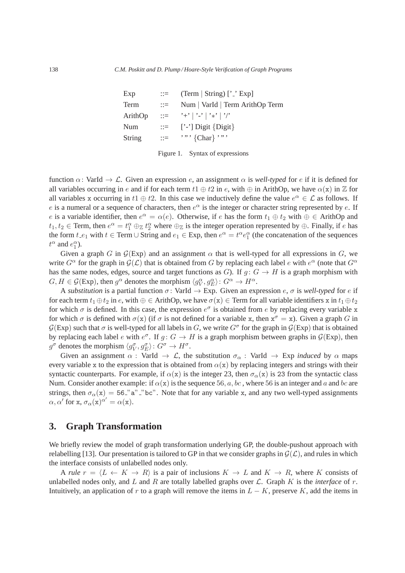| Exp     | $\mathbf{r} =$            | $Term   String  '$ $\geq$ Exp   |
|---------|---------------------------|---------------------------------|
| Term    | $\mathbb{R}^{\mathbb{Z}}$ | Num   VarId   Term ArithOp Term |
| ArithOp |                           |                                 |
| Num     | $\mathbb{R}^{\mathbb{Z}}$ | ['-'] Digit $\{Digit\}$         |
| String  | $\mathbf{H} = \mathbf{H}$ | $\cdots$ {Char} $\cdots$ }      |

| Figure 1. |  | Syntax of expressions |
|-----------|--|-----------------------|
|           |  |                       |

function  $\alpha$ : VarId  $\rightarrow \mathcal{L}$ . Given an expression e, an assignment  $\alpha$  is *well-typed* for e if it is defined for all variables occurring in e and if for each term  $t_1 \oplus t_2$  in e, with  $\oplus$  in ArithOp, we have  $\alpha(x)$  in  $\mathbb Z$  for all variables x occurring in  $t_1 \oplus t_2$ . In this case we inductively define the value  $e^{\alpha} \in \mathcal{L}$  as follows. If e is a numeral or a sequence of characters, then  $e^{\alpha}$  is the integer or character string represented by e. If e is a variable identifier, then  $e^{\alpha} = \alpha(e)$ . Otherwise, if e has the form  $t_1 \oplus t_2$  with  $\oplus \in$  ArithOp and  $t_1, t_2 \in \text{Term}$ , then  $e^{\alpha} = t_1^{\alpha} \oplus_{\mathbb{Z}} t_2^{\alpha}$  where  $\oplus_{\mathbb{Z}}$  is the integer operation represented by  $\oplus$ . Finally, if e has the form  $t.e_1$  with  $t \in \text{Term} \cup \text{String}$  and  $e_1 \in \text{Exp}$ , then  $e^{\alpha} = t^{\alpha} e_1^{\alpha}$  (the concatenation of the sequences  $t^{\alpha}$  and  $e_1^{\alpha}$ ).

Given a graph G in  $\mathcal{G}(Exp)$  and an assignment  $\alpha$  that is well-typed for all expressions in G, we write  $G^{\alpha}$  for the graph in  $\mathcal{G}(\mathcal{L})$  that is obtained from G by replacing each label e with  $e^{\alpha}$  (note that  $G^{\alpha}$ ) has the same nodes, edges, source and target functions as G). If  $q: G \to H$  is a graph morphism with  $G, H \in \mathcal{G}(\text{Exp})$ , then  $g^{\alpha}$  denotes the morphism  $\langle g_V^{\alpha}, g_E^{\alpha} \rangle : G^{\alpha} \to H^{\alpha}$ .

A *substitution* is a partial function  $\sigma$ : VarId  $\rightarrow$  Exp. Given an expression e,  $\sigma$  is *well-typed* for e if for each term  $t_1 \oplus t_2$  in  $e$ , with  $\oplus \in$  ArithOp, we have  $\sigma(x) \in$  Term for all variable identifiers x in  $t_1 \oplus t_2$ for which  $\sigma$  is defined. In this case, the expression  $e^{\sigma}$  is obtained from e by replacing every variable x for which  $\sigma$  is defined with  $\sigma(x)$  (if  $\sigma$  is not defined for a variable x, then  $x^{\sigma} = x$ ). Given a graph G in  $G(\text{Exp})$  such that  $\sigma$  is well-typed for all labels in G, we write  $G^{\sigma}$  for the graph in  $G(\text{Exp})$  that is obtained by replacing each label e with  $e^{\sigma}$ . If  $g: G \to H$  is a graph morphism between graphs in  $\mathcal{G}(\text{Exp})$ , then  $g^{\sigma}$  denotes the morphism  $\langle g_V^{\sigma}, g_E^{\sigma} \rangle \colon G^{\sigma} \to H^{\sigma}$ .

Given an assignment  $\alpha$  : VarId  $\rightarrow \mathcal{L}$ , the substitution  $\sigma_{\alpha}$  : VarId  $\rightarrow$  Exp *induced* by  $\alpha$  maps every variable x to the expression that is obtained from  $\alpha(x)$  by replacing integers and strings with their syntactic counterparts. For example, if  $\alpha(x)$  is the integer 23, then  $\sigma_{\alpha}(x)$  is 23 from the syntactic class Num. Consider another example: if  $\alpha(x)$  is the sequence 56, a, bc, where 56 is an integer and a and bc are strings, then  $\sigma_{\alpha}(x) = 56$  "a" "bc". Note that for any variable x, and any two well-typed assignments  $\alpha, \alpha'$  for x,  $\sigma_{\alpha}(x)^{\alpha'} = \alpha(x)$ .

# **3. Graph Transformation**

We briefly review the model of graph transformation underlying GP, the double-pushout approach with relabelling [13]. Our presentation is tailored to GP in that we consider graphs in  $G(\mathcal{L})$ , and rules in which the interface consists of unlabelled nodes only.

A *rule*  $r = \langle L \leftarrow K \rightarrow R \rangle$  is a pair of inclusions  $K \rightarrow L$  and  $K \rightarrow R$ , where K consists of unlabelled nodes only, and  $L$  and  $R$  are totally labelled graphs over  $\mathcal{L}$ . Graph  $K$  is the *interface* of  $r$ . Intuitively, an application of r to a graph will remove the items in  $L - K$ , preserve K, add the items in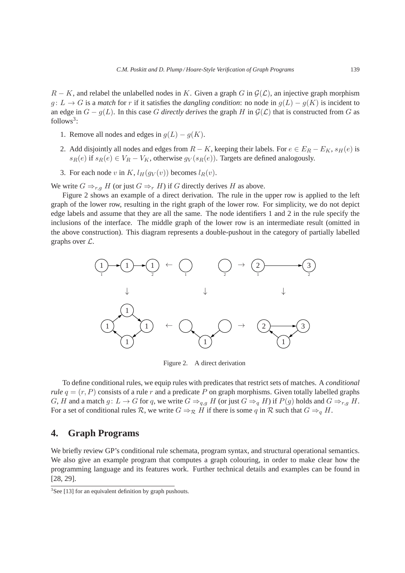$R - K$ , and relabel the unlabelled nodes in K. Given a graph G in  $G(\mathcal{L})$ , an injective graph morphism  $g: L \to G$  is a *match* for r if it satisfies the *dangling condition*: no node in  $g(L) - g(K)$  is incident to an edge in  $G - g(L)$ . In this case G directly derives the graph H in  $\mathcal{G}(\mathcal{L})$  that is constructed from G as follows<sup>3</sup>:

- 1. Remove all nodes and edges in  $q(L) q(K)$ .
- 2. Add disjointly all nodes and edges from  $R K$ , keeping their labels. For  $e \in E_R E_K$ ,  $s_H(e)$  is  $s_R(e)$  if  $s_R(e) \in V_R - V_K$ , otherwise  $g_V(s_R(e))$ . Targets are defined analogously.
- 3. For each node v in K,  $l_H(g_V(v))$  becomes  $l_R(v)$ .

We write  $G \Rightarrow_{r,g} H$  (or just  $G \Rightarrow_r H$ ) if G directly derives H as above.

Figure 2 shows an example of a direct derivation. The rule in the upper row is applied to the left graph of the lower row, resulting in the right graph of the lower row. For simplicity, we do not depict edge labels and assume that they are all the same. The node identifiers 1 and 2 in the rule specify the inclusions of the interface. The middle graph of the lower row is an intermediate result (omitted in the above construction). This diagram represents a double-pushout in the category of partially labelled graphs over L.



Figure 2. A direct derivation

To define conditional rules, we equip rules with predicates that restrict sets of matches. A *conditional rule*  $q = (r, P)$  consists of a rule r and a predicate P on graph morphisms. Given totally labelled graphs G, H and a match  $g: L \to G$  for q, we write  $G \Rightarrow_{q,q} H$  (or just  $G \Rightarrow_{q} H$ ) if  $P(g)$  holds and  $G \Rightarrow_{r,q} H$ . For a set of conditional rules R, we write  $G \Rightarrow_R H$  if there is some q in R such that  $G \Rightarrow_{q} H$ .

## **4. Graph Programs**

We briefly review GP's conditional rule schemata, program syntax, and structural operational semantics. We also give an example program that computes a graph colouring, in order to make clear how the programming language and its features work. Further technical details and examples can be found in [28, 29].

 $3$ See [13] for an equivalent definition by graph pushouts.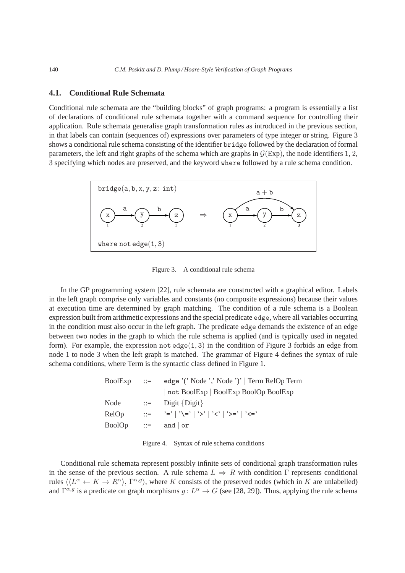## **4.1. Conditional Rule Schemata**

Conditional rule schemata are the "building blocks" of graph programs: a program is essentially a list of declarations of conditional rule schemata together with a command sequence for controlling their application. Rule schemata generalise graph transformation rules as introduced in the previous section, in that labels can contain (sequences of) expressions over parameters of type integer or string. Figure 3 shows a conditional rule schema consisting of the identifier bridge followed by the declaration of formal parameters, the left and right graphs of the schema which are graphs in  $G(Exp)$ , the node identifiers 1, 2, 3 specifying which nodes are preserved, and the keyword where followed by a rule schema condition.



Figure 3. A conditional rule schema

In the GP programming system [22], rule schemata are constructed with a graphical editor. Labels in the left graph comprise only variables and constants (no composite expressions) because their values at execution time are determined by graph matching. The condition of a rule schema is a Boolean expression built from arithmetic expressions and the special predicate edge, where all variables occurring in the condition must also occur in the left graph. The predicate edge demands the existence of an edge between two nodes in the graph to which the rule schema is applied (and is typically used in negated form). For example, the expression not edge $(1, 3)$  in the condition of Figure 3 forbids an edge from node 1 to node 3 when the left graph is matched. The grammar of Figure 4 defines the syntax of rule schema conditions, where Term is the syntactic class defined in Figure 1.

| BoolExp       | $\therefore =$            | edge '(' Node ',' Node ')'   Term RelOp Term                                                                                                                                                                                                                                                                                                                                                                                                                |
|---------------|---------------------------|-------------------------------------------------------------------------------------------------------------------------------------------------------------------------------------------------------------------------------------------------------------------------------------------------------------------------------------------------------------------------------------------------------------------------------------------------------------|
|               |                           | not BoolExp   BoolExp BoolOp BoolExp                                                                                                                                                                                                                                                                                                                                                                                                                        |
| Node          | $\mathbb{R}^{\mathbb{Z}}$ | Digit $\{Digit\}$                                                                                                                                                                                                                                                                                                                                                                                                                                           |
| RelOp         |                           | $\alpha :=$ $\alpha :=$ $\alpha :=$ $\alpha :=$ $\alpha :=$ $\alpha :=$ $\alpha :=$ $\alpha :=$ $\alpha :=$ $\alpha :=$ $\alpha :=$ $\alpha :=$ $\alpha :=$ $\alpha :=$ $\alpha :=$ $\alpha :=$ $\alpha :=$ $\alpha :=$ $\alpha :=$ $\alpha :=$ $\alpha :=$ $\alpha :=$ $\alpha :=$ $\alpha :=$ $\alpha :=$ $\alpha :=$ $\alpha :=$ $\alpha :=$ $\alpha :=$ $\alpha :=$ $\alpha :=$ $\alpha :=$ $\alpha :=$ $\alpha :=$ $\alpha :=$ $\alpha :=$ $\alpha :=$ |
| <b>BoolOp</b> | $\therefore =$            | and $\vert$ or                                                                                                                                                                                                                                                                                                                                                                                                                                              |
|               |                           |                                                                                                                                                                                                                                                                                                                                                                                                                                                             |

Figure 4. Syntax of rule schema conditions

Conditional rule schemata represent possibly infinite sets of conditional graph transformation rules in the sense of the previous section. A rule schema  $L \Rightarrow R$  with condition Γ represents conditional rules  $\langle L^{\alpha} \leftarrow K \rightarrow R^{\alpha} \rangle$ ,  $\Gamma^{\alpha,g}$ , where K consists of the preserved nodes (which in K are unlabelled) and  $\Gamma^{\alpha,g}$  is a predicate on graph morphisms  $g: L^{\alpha} \to G$  (see [28, 29]). Thus, applying the rule schema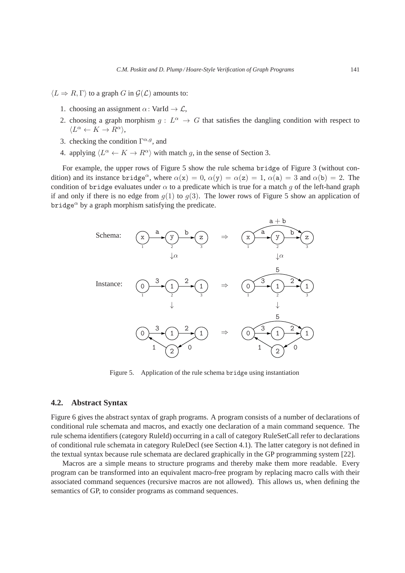$\langle L \Rightarrow R, \Gamma \rangle$  to a graph G in  $\mathcal{G}(\mathcal{L})$  amounts to:

- 1. choosing an assignment  $\alpha$ : VarId  $\rightarrow \mathcal{L}$ ,
- 2. choosing a graph morphism  $g: L^{\alpha} \to G$  that satisfies the dangling condition with respect to  $\langle L^{\alpha} \leftarrow K \rightarrow R^{\alpha} \rangle,$
- 3. checking the condition  $\Gamma^{\alpha,g}$ , and
- 4. applying  $\langle L^{\alpha} \leftarrow K \rightarrow R^{\alpha} \rangle$  with match g, in the sense of Section 3.

For example, the upper rows of Figure 5 show the rule schema bridge of Figure 3 (without condition) and its instance bridge<sup>α</sup>, where  $\alpha(x) = 0$ ,  $\alpha(y) = \alpha(z) = 1$ ,  $\alpha(a) = 3$  and  $\alpha(b) = 2$ . The condition of bridge evaluates under  $\alpha$  to a predicate which is true for a match g of the left-hand graph if and only if there is no edge from  $q(1)$  to  $q(3)$ . The lower rows of Figure 5 show an application of bridge<sup> $\alpha$ </sup> by a graph morphism satisfying the predicate.



Figure 5. Application of the rule schema bridge using instantiation

### **4.2. Abstract Syntax**

Figure 6 gives the abstract syntax of graph programs. A program consists of a number of declarations of conditional rule schemata and macros, and exactly one declaration of a main command sequence. The rule schema identifiers (category RuleId) occurring in a call of category RuleSetCall refer to declarations of conditional rule schemata in category RuleDecl (see Section 4.1). The latter category is not defined in the textual syntax because rule schemata are declared graphically in the GP programming system [22].

Macros are a simple means to structure programs and thereby make them more readable. Every program can be transformed into an equivalent macro-free program by replacing macro calls with their associated command sequences (recursive macros are not allowed). This allows us, when defining the semantics of GP, to consider programs as command sequences.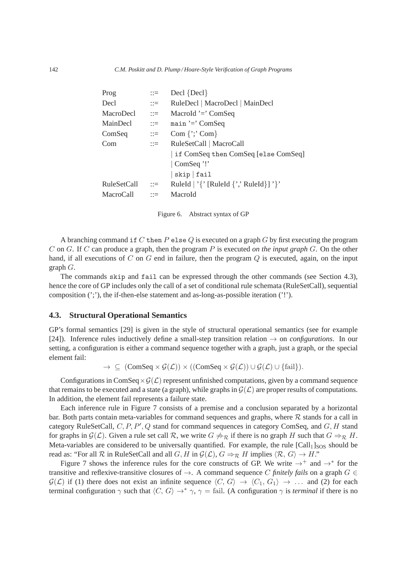| $\mathbb{R}^{\mathbb{Z}}$ | $\text{Decl} \left\{ \text{Decl} \right\}$        |
|---------------------------|---------------------------------------------------|
| $\mathbb{R}^{\mathbb{Z}}$ | RuleDecl   MacroDecl   MainDecl                   |
| $\mathbb{R}^{\mathbb{Z}}$ | MacroId $=$ ComSeq                                |
| $\mathbf{C} = \mathbf{C}$ | $main' =' ComSeq$                                 |
| $\mathrel{\mathop:}=$     | Com $\{$ ; Com $\}$                               |
| $\mathbb{R}^n$            | RuleSetCall   MacroCall                           |
|                           | if ComSeq then ComSeq [else ComSeq]               |
|                           | ComSeq '!'                                        |
|                           | $skip  $ fail                                     |
| $\mathbf{H} = \mathbf{H}$ | RuleId   ' $\{$ ' [RuleId $\{$ ', RuleId } ] ' }' |
| $\mathbb{R}^{\mathbb{Z}}$ | MacroId                                           |
|                           |                                                   |

Figure 6. Abstract syntax of GP

A branching command if C then  $P$  else Q is executed on a graph G by first executing the program C on G. If C can produce a graph, then the program P is executed *on the input graph* G. On the other hand, if all executions of C on G end in failure, then the program  $Q$  is executed, again, on the input graph G.

The commands skip and fail can be expressed through the other commands (see Section 4.3), hence the core of GP includes only the call of a set of conditional rule schemata (RuleSetCall), sequential composition (';'), the if-then-else statement and as-long-as-possible iteration ('!').

### **4.3. Structural Operational Semantics**

GP's formal semantics [29] is given in the style of structural operational semantics (see for example [24]). Inference rules inductively define a small-step transition relation  $\rightarrow$  on *configurations*. In our setting, a configuration is either a command sequence together with a graph, just a graph, or the special element fail:

 $\rightarrow \subseteq (\text{ComSeq} \times \mathcal{G}(\mathcal{L})) \times ((\text{ComSeq} \times \mathcal{G}(\mathcal{L})) \cup \mathcal{G}(\mathcal{L}) \cup \{\text{fail}\}).$ 

Configurations in ComSeq  $\times$  G( $\mathcal{L}$ ) represent unfinished computations, given by a command sequence that remains to be executed and a state (a graph), while graphs in  $\mathcal{G}(\mathcal{L})$  are proper results of computations. In addition, the element fail represents a failure state.

Each inference rule in Figure 7 consists of a premise and a conclusion separated by a horizontal bar. Both parts contain meta-variables for command sequences and graphs, where  $R$  stands for a call in category RuleSetCall,  $C, P, P', Q$  stand for command sequences in category ComSeq, and  $G, H$  stand for graphs in  $\mathcal{G}(\mathcal{L})$ . Given a rule set call R, we write  $G \neq_{\mathcal{R}}$  if there is no graph H such that  $G \Rightarrow_{\mathcal{R}} H$ . Meta-variables are considered to be universally quantified. For example, the rule  $\lceil \text{Call}_1 \rceil_{\text{SOS}}$  should be read as: "For all R in RuleSetCall and all G, H in  $\mathcal{G}(\mathcal{L})$ ,  $G \Rightarrow_{\mathcal{R}} H$  implies  $\langle \mathcal{R}, G \rangle \rightarrow H$ ."

Figure 7 shows the inference rules for the core constructs of GP. We write  $\rightarrow^+$  and  $\rightarrow^*$  for the transitive and reflexive-transitive closures of  $\rightarrow$ . A command sequence C *finitely fails* on a graph  $G \in$  $\mathcal{G}(\mathcal{L})$  if (1) there does not exist an infinite sequence  $\langle C, G \rangle \to \langle C_1, G_1 \rangle \to \dots$  and (2) for each terminal configuration  $\gamma$  such that  $\langle C, G \rangle \rightarrow^* \gamma$ ,  $\gamma =$  fail. (A configuration  $\gamma$  is *terminal* if there is no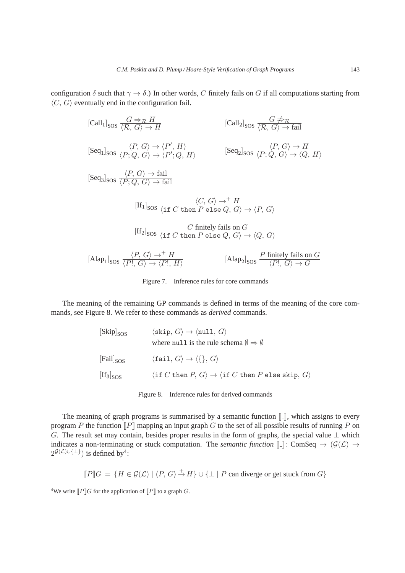configuration  $\delta$  such that  $\gamma \to \delta$ .) In other words, C finitely fails on G if all computations starting from  $\langle C, G \rangle$  eventually end in the configuration fail.

$$
[Call_1]_{SOS} \xrightarrow{G \Rightarrow_R H} [Call_2]_{SOS} \xrightarrow{\langle R, G \rangle \rightarrow H} [Call_2]_{SOS} \xrightarrow{\langle R, G \rangle \rightarrow fail}
$$
\n
$$
[Seq_1]_{SOS} \xrightarrow{\langle P, G \rangle \rightarrow \langle P', H \rangle} [Seq_2]_{SOS} \xrightarrow{\langle P, G \rangle \rightarrow H} [Seq_3]_{SOS} \xrightarrow{\langle P, G \rangle \rightarrow fail} [Seq_3]_{SOS} \xrightarrow{\langle P, G \rangle \rightarrow fail} [If_1]_{SOS} \xrightarrow{\langle G, G \rangle \rightarrow fin} H
$$
\n
$$
[If_1]_{SOS} \xrightarrow{\langle f, G \rangle \rightarrow fin} H
$$
\n
$$
[If_2]_{SOS} \xrightarrow{\langle f, G \rangle \rightarrow H} H
$$
\n
$$
[If_2]_{SOS} \xrightarrow{\langle f, G \rangle \rightarrow H} H
$$
\n
$$
[H_1]_{SOS} \xrightarrow{\langle f, G \rangle \rightarrow H} H
$$
\n
$$
[Alg_1]_{SOS} \xrightarrow{\langle P, G \rangle \rightarrow H} H
$$
\n
$$
[Alap_1]_{SOS} \xrightarrow{\langle P, G \rangle \rightarrow \langle P', H \rangle} [Alap_2]_{SOS} \xrightarrow{P \text{ finitely fails on } G} [A]
$$

Figure 7. Inference rules for core commands

The meaning of the remaining GP commands is defined in terms of the meaning of the core commands, see Figure 8. We refer to these commands as *derived* commands.

| $[Skip]_{SOS}$               | $\langle$ skip, $G \rangle \rightarrow \langle \text{null}, G \rangle$<br>where null is the rule schema $\emptyset \Rightarrow \emptyset$ |
|------------------------------|-------------------------------------------------------------------------------------------------------------------------------------------|
| $[{\rm Fail}]_{\rm SOS}$     | $\langle \mathtt{fail},\,G\rangle \rightarrow \langle \{\},\,G\rangle$                                                                    |
| $[\text{If}_3]_{\text{SOS}}$ | $\langle \text{if } C \text{ then } P, G \rangle \rightarrow \langle \text{if } C \text{ then } P \text{ else skip, } G \rangle$          |

| Figure 8. | Inference rules for derived commands |  |  |
|-----------|--------------------------------------|--|--|
|-----------|--------------------------------------|--|--|

The meaning of graph programs is summarised by a semantic function  $\llbracket \cdot \rrbracket$ , which assigns to every program P the function  $\llbracket P \rrbracket$  mapping an input graph G to the set of all possible results of running P on G. The result set may contain, besides proper results in the form of graphs, the special value  $\perp$  which indicates a non-terminating or stuck computation. The *semantic function*  $\llbracket \cdot \rrbracket$ : ComSeq  $\rightarrow$  ( $\mathcal{G}(\mathcal{L})$ )  $\rightarrow$  $2^{\mathcal{G}(\mathcal{L}) \cup \{\perp\}}$ ) is defined by<sup>4</sup>:

$$
[\![P]\!]G = \{ H \in \mathcal{G}(\mathcal{L}) \mid \langle P, G \rangle \stackrel{+}{\rightarrow} H \} \cup \{ \bot \mid P \text{ can diverge or get stuck from } G \}
$$

<sup>&</sup>lt;sup>4</sup>We write  $\overline{P}$   $\overline{G}$  for the application of  $\overline{P}$  to a graph G.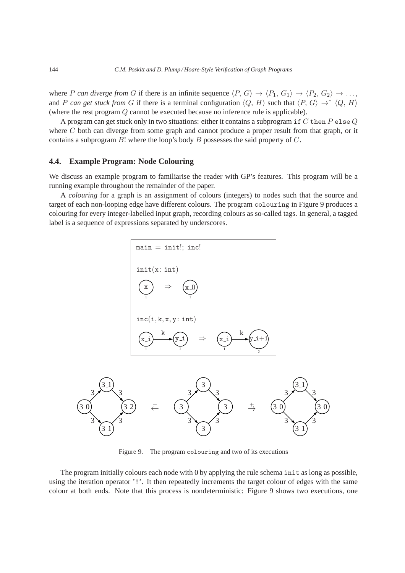where P *can diverge from* G if there is an infinite sequence  $\langle P, G \rangle \to \langle P_1, G_1 \rangle \to \langle P_2, G_2 \rangle \to \ldots$ , and P can get stuck from G if there is a terminal configuration  $\langle Q, H \rangle$  such that  $\langle P, G \rangle \to^* \langle Q, H \rangle$ (where the rest program Q cannot be executed because no inference rule is applicable).

A program can get stuck only in two situations: either it contains a subprogram if C then  $P$  else  $Q$ where C both can diverge from some graph and cannot produce a proper result from that graph, or it contains a subprogram  $B!$  where the loop's body  $B$  possesses the said property of  $C$ .

## **4.4. Example Program: Node Colouring**

We discuss an example program to familiarise the reader with GP's features. This program will be a running example throughout the remainder of the paper.

A *colouring* for a graph is an assignment of colours (integers) to nodes such that the source and target of each non-looping edge have different colours. The program colouring in Figure 9 produces a colouring for every integer-labelled input graph, recording colours as so-called tags. In general, a tagged label is a sequence of expressions separated by underscores.





Figure 9. The program colouring and two of its executions

The program initially colours each node with 0 by applying the rule schema init as long as possible, using the iteration operator '!'. It then repeatedly increments the target colour of edges with the same colour at both ends. Note that this process is nondeterministic: Figure 9 shows two executions, one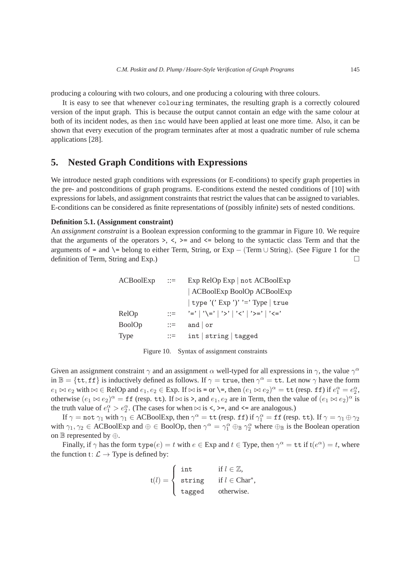producing a colouring with two colours, and one producing a colouring with three colours.

It is easy to see that whenever colouring terminates, the resulting graph is a correctly coloured version of the input graph. This is because the output cannot contain an edge with the same colour at both of its incident nodes, as then inc would have been applied at least one more time. Also, it can be shown that every execution of the program terminates after at most a quadratic number of rule schema applications [28].

# **5. Nested Graph Conditions with Expressions**

We introduce nested graph conditions with expressions (or E-conditions) to specify graph properties in the pre- and postconditions of graph programs. E-conditions extend the nested conditions of [10] with expressions for labels, and assignment constraints that restrict the values that can be assigned to variables. E-conditions can be considered as finite representations of (possibly infinite) sets of nested conditions.

## **Definition 5.1. (Assignment constraint)**

An *assignment constraint* is a Boolean expression conforming to the grammar in Figure 10. We require that the arguments of the operators  $\geq, \leq, \geq$  and  $\leq$  belong to the syntactic class Term and that the arguments of = and  $\equiv$  belong to either Term, String, or Exp – (Term  $\cup$  String). (See Figure 1 for the definition of Term, String and Exp.)

| ACBoolExp     | $\therefore =$              | $Exp$ RelOp $Exp   not ACBoolean$    |
|---------------|-----------------------------|--------------------------------------|
|               |                             | ACBoolExp BoolOp ACBoolExp           |
|               |                             | $ $ type '('Exp')' '=' Type $ $ true |
| RelOp         | $\mathrel{\mathop:}=$       | '='   '\='   '>'   '<'   '>='   '<=' |
| <b>BoolOp</b> | $\mathbb{R}^2 = \mathbb{R}$ | and $\vert$ or                       |
| Type          | $\mathrel{\mathop:}=$       | int  string tagged                   |

| Figure 10. |  | Syntax of assignment constraints |  |
|------------|--|----------------------------------|--|
|            |  |                                  |  |

Given an assignment constraint  $\gamma$  and an assignment  $\alpha$  well-typed for all expressions in  $\gamma$ , the value  $\gamma^{\alpha}$ in  $\mathbb{B} = \{\texttt{tt}, \texttt{ff}\}$  is inductively defined as follows. If  $\gamma = \texttt{true}$ , then  $\gamma^{\alpha} = \texttt{tt}$ . Let now  $\gamma$  have the form  $e_1 \bowtie e_2$  with  $\bowtie \in \text{RelOp}$  and  $e_1, e_2 \in \text{Exp.}$  If  $\bowtie$  is = or  $\searrow$ , then  $(e_1 \bowtie e_2)^\alpha = \text{tt}$  (resp. ff) if  $e_1^\alpha = e_2^\alpha$ , otherwise  $(e_1 \bowtie e_2)^\alpha = \text{ff}$  (resp. tt). If  $\bowtie$  is >, and  $e_1, e_2$  are in Term, then the value of  $(e_1 \bowtie e_2)^\alpha$  is the truth value of  $e_1^{\alpha} > e_2^{\alpha}$ . (The cases for when  $\bowtie$  is <, >=, and <= are analogous.)

If  $\gamma = \texttt{not} \; \gamma_1$  with  $\gamma_1 \in \text{ACBoolExp}$ , then  $\gamma^\alpha = \texttt{tt}$  (resp. ff) if  $\gamma^\alpha_1 = \texttt{ff}$  (resp.  $\texttt{tt}$ ). If  $\gamma = \gamma_1 \oplus \gamma_2$ with  $\gamma_1, \gamma_2 \in ACBoolExp$  and  $\oplus \in BoolOp$ , then  $\gamma^{\alpha} = \gamma_1^{\alpha} \oplus_{\mathbb{B}} \gamma_2^{\alpha}$  where  $\oplus_{\mathbb{B}}$  is the Boolean operation on  $\mathbb B$  represented by  $\oplus$ .

Finally, if  $\gamma$  has the form  $type(e) = t$  with  $e \in Exp$  and  $t \in Type$ , then  $\gamma^{\alpha} = \texttt{tt}$  if  $t(e^{\alpha}) = t$ , where the function  $t: \mathcal{L} \rightarrow$  Type is defined by:

$$
t(l) = \begin{cases} \text{int} & \text{if } l \in \mathbb{Z}, \\ \text{string} & \text{if } l \in \text{Char}^*, \\ \text{tagged} & \text{otherwise.} \end{cases}
$$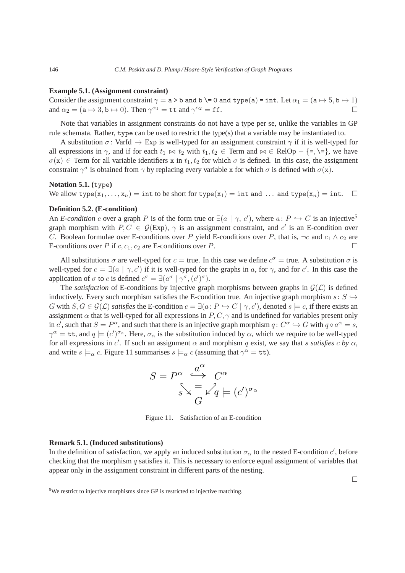#### **Example 5.1. (Assignment constraint)**

Consider the assignment constraint  $\gamma = a > b$  and  $b \ = 0$  and type(a) = int. Let  $\alpha_1 = (a \mapsto 5, b \mapsto 1)$ and  $\alpha_2 = (\mathtt{a} \mapsto 3, \mathtt{b} \mapsto 0)$ . Then  $\gamma^{\alpha_1} = \mathtt{tt}$  and  $\gamma^{\alpha_2} = \mathtt{ff}$ .

Note that variables in assignment constraints do not have a type per se, unlike the variables in GP rule schemata. Rather, type can be used to restrict the type(s) that a variable may be instantiated to.

A substitution  $\sigma$ : VarId  $\rightarrow$  Exp is well-typed for an assignment constraint  $\gamma$  if it is well-typed for all expressions in  $\gamma$ , and if for each  $t_1 \bowtie t_2$  with  $t_1, t_2 \in \text{Term}$  and  $\bowtie \in \text{RelOp} - \{=\}$ ,  $\models$ , we have  $\sigma(x) \in$  Term for all variable identifiers x in  $t_1, t_2$  for which  $\sigma$  is defined. In this case, the assignment constraint  $\gamma^{\sigma}$  is obtained from  $\gamma$  by replacing every variable x for which  $\sigma$  is defined with  $\sigma(x)$ .

## **Notation 5.1. (**type**)**

We allow type $(x_1, ..., x_n) = \text{int to be short for type}(x_1) = \text{int and } ...$  and type $(x_n) = \text{int. } \Box$ 

### **Definition 5.2. (E-condition)**

An *E-condition* c over a graph P is of the form true or  $\exists (a \mid \gamma, c')$ , where  $a: P \hookrightarrow C$  is an injective<sup>5</sup> graph morphism with  $P, C \in \mathcal{G}(Exp)$ ,  $\gamma$  is an assignment constraint, and c' is an E-condition over C. Boolean formulae over E-conditions over P yield E-conditions over P, that is,  $\neg c$  and  $c_1 \wedge c_2$  are E-conditions over P if c,  $c_1$ ,  $c_2$  are E-conditions over P.

All substitutions  $\sigma$  are well-typed for  $c = \text{true}$ . In this case we define  $c^{\sigma} = \text{true}$ . A substitution  $\sigma$  is well-typed for  $c = \exists (a \mid \gamma, c')$  if it is well-typed for the graphs in a, for  $\gamma$ , and for c'. In this case the application of  $\sigma$  to  $c$  is defined  $c^{\sigma} = \exists (a^{\sigma} \mid \gamma^{\sigma}, (c')^{\sigma}).$ 

The *satisfaction* of E-conditions by injective graph morphisms between graphs in  $\mathcal{G}(\mathcal{L})$  is defined inductively. Every such morphism satisfies the E-condition true. An injective graph morphism  $s: S \hookrightarrow$ G with  $S, G \in \mathcal{G}(\mathcal{L})$  *satisfies* the E-condition  $c = \exists (a \colon P \hookrightarrow C \mid \gamma, c')$ , denoted  $s \models c$ , if there exists an assignment  $\alpha$  that is well-typed for all expressions in  $P, C, \gamma$  and is undefined for variables present only in c', such that  $S = P^{\alpha}$ , and such that there is an injective graph morphism  $q: C^{\alpha} \hookrightarrow G$  with  $q \circ a^{\alpha} = s$ ,  $\gamma^{\alpha} = \texttt{tt}$ , and  $q \models (c')^{\sigma_{\alpha}}$ . Here,  $\sigma_{\alpha}$  is the substitution induced by  $\alpha$ , which we require to be well-typed for all expressions in  $c'$ . If such an assignment  $\alpha$  and morphism q exist, we say that s satisfies c by  $\alpha$ , and write  $s \models_{\alpha} c$ . Figure 11 summarises  $s \models_{\alpha} c$  (assuming that  $\gamma^{\alpha} = \texttt{tt}$ ).

$$
S = P^{\alpha} \overset{a^{\alpha}}{\longleftrightarrow} C^{\alpha}
$$

$$
S \searrow \frac{1}{G} \swarrow q \models (c')^{\sigma_{\alpha}}
$$

Figure 11. Satisfaction of an E-condition

### **Remark 5.1. (Induced substitutions)**

In the definition of satisfaction, we apply an induced substitution  $\sigma_{\alpha}$  to the nested E-condition  $c'$ , before checking that the morphism  $q$  satisfies it. This is necessary to enforce equal assignment of variables that appear only in the assignment constraint in different parts of the nesting.

<sup>&</sup>lt;sup>5</sup>We restrict to injective morphisms since GP is restricted to injective matching.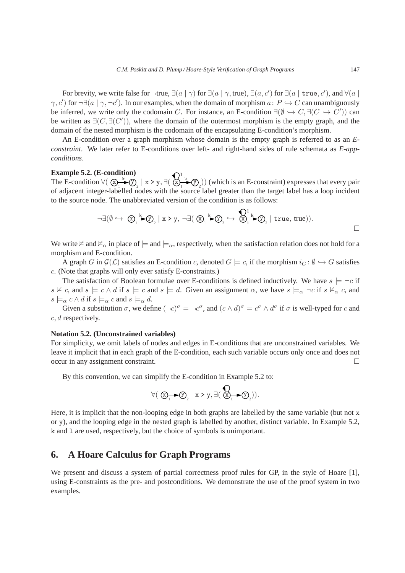For brevity, we write false for ¬true,  $\exists (a \mid \gamma)$  for  $\exists (a \mid \gamma, \text{true}), \exists (a, c')$  for  $\exists (a \mid \text{true}, c')$ , and  $\forall (a \mid c')$  $\gamma$ , c') for  $\neg \exists (a \mid \gamma, \neg c')$ . In our examples, when the domain of morphism  $a: P \hookrightarrow C$  can unambiguously be inferred, we write only the codomain C. For instance, an E-condition  $\exists(\emptyset \hookrightarrow C, \exists(C \hookrightarrow C'))$  can be written as  $\exists (C, \exists (C'))$ , where the domain of the outermost morphism is the empty graph, and the domain of the nested morphism is the codomain of the encapsulating E-condition's morphism.

An E-condition over a graph morphism whose domain is the empty graph is referred to as an *Econstraint*. We later refer to E-conditions over left- and right-hand sides of rule schemata as *E-appconditions*.

#### **Example 5.2. (E-condition)**

The E-condition  $\forall (\Box \rightarrow^k \ \bigcirc_{2} \ \Diamond)$  $\bigstar$  $\mathcal{D}_2$  | x > y,  $\exists (\bigotimes_{1}^{k} \bigotimes_{2} \mathcal{D}_2)$  $\left(\frac{1}{k}\right)$  (which is an E-constraint) expresses that every pair of adjacent integer-labelled nodes with the source label greater than the target label has a loop incident to the source node. The unabbreviated version of the condition is as follows:

$$
\neg \exists (\emptyset \hookrightarrow \textcircled{x}_{1}^{k} \textcircled{y}_{2} | x > y, \neg \exists (\textcircled{x}_{1}^{k} \textcircled{y}_{2} \hookrightarrow \textcircled{x}_{1}^{1} \textcircled{x}_{2} | \text{true}, \text{true})).
$$

We write  $\not\vDash$  and  $\not\vDash_{\alpha}$  in place of  $\models$  and  $\models_{\alpha}$ , respectively, when the satisfaction relation does not hold for a morphism and E-condition.

A graph G in  $\mathcal{G}(\mathcal{L})$  satisfies an E-condition c, denoted  $G \models c$ , if the morphism  $i_G : \emptyset \hookrightarrow G$  satisfies c. (Note that graphs will only ever satisfy E-constraints.)

The satisfaction of Boolean formulae over E-conditions is defined inductively. We have  $s \models \neg c$  if  $s \not\vDash c$ , and  $s \models c \land d$  if  $s \models c$  and  $s \models d$ . Given an assignment  $\alpha$ , we have  $s \models_{\alpha} \neg c$  if  $s \not\vDash_{\alpha} c$ , and  $s \models_{\alpha} c \wedge d$  if  $s \models_{\alpha} c$  and  $s \models_{\alpha} d$ .

Given a substitution  $\sigma$ , we define  $(\neg c)^{\sigma} = \neg c^{\sigma}$ , and  $(c \wedge d)^{\sigma} = c^{\sigma} \wedge d^{\sigma}$  if  $\sigma$  is well-typed for c and c, d respectively.

### **Notation 5.2. (Unconstrained variables)**

For simplicity, we omit labels of nodes and edges in E-conditions that are unconstrained variables. We leave it implicit that in each graph of the E-condition, each such variable occurs only once and does not occur in any assignment constraint.

By this convention, we can simplify the E-condition in Example 5.2 to:

$$
\forall (\text{ } \textcircled{x_1 \rightarrow \textcircled{y}_2} \mid x > y, \exists (\text{ } \textcircled{x_1 \rightarrow \textcircled{y}_2})).
$$

Here, it is implicit that the non-looping edge in both graphs are labelled by the same variable (but not  $x$ ) or y), and the looping edge in the nested graph is labelled by another, distinct variable. In Example 5.2, k and l are used, respectively, but the choice of symbols is unimportant.

# **6. A Hoare Calculus for Graph Programs**

We present and discuss a system of partial correctness proof rules for GP, in the style of Hoare [1], using E-constraints as the pre- and postconditions. We demonstrate the use of the proof system in two examples.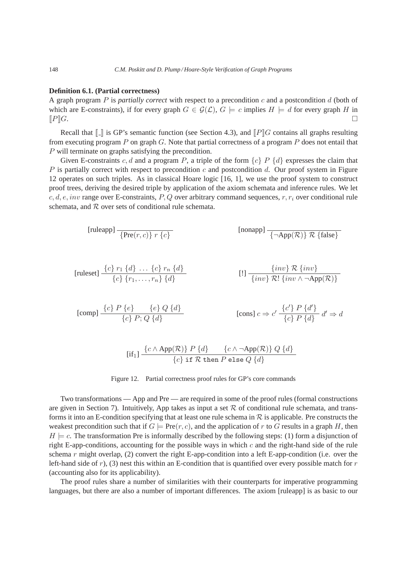#### **Definition 6.1. (Partial correctness)**

A graph program P is *partially correct* with respect to a precondition c and a postcondition d (both of which are E-constraints), if for every graph  $G \in \mathcal{G}(\mathcal{L})$ ,  $G \models c$  implies  $H \models d$  for every graph H in  $\llbracket P \rrbracket G.$ 

Recall that  $\llbracket \cdot \rrbracket$  is GP's semantic function (see Section 4.3), and  $\llbracket P \rrbracket G$  contains all graphs resulting from executing program P on graph G. Note that partial correctness of a program P does not entail that P will terminate on graphs satisfying the precondition.

Given E-constraints c, d and a program P, a triple of the form  $\{c\}$  P  $\{d\}$  expresses the claim that P is partially correct with respect to precondition c and postcondition d. Our proof system in Figure 12 operates on such triples. As in classical Hoare logic [16, 1], we use the proof system to construct proof trees, deriving the desired triple by application of the axiom schemata and inference rules. We let c, d, e, inv range over E-constraints, P, Q over arbitrary command sequences,  $r, r_i$  over conditional rule schemata, and  $R$  over sets of conditional rule schemata.

$$
[\text{ruleapp}] \frac{}{\{\text{Pre}(r,c)\} \ r \{c\}} \qquad \qquad [\text{nonapp}] \frac{}{\{\neg \text{App}(\mathcal{R})\} \ \mathcal{R} \ \{\text{false}\}}
$$

$$
\text{[ruleset]} \quad \frac{\{c\} \ r_1 \ \{d\} \ \ldots \ \{c\} \ r_n \ \{d\}}{\{c\} \ \{r_1, \ldots, r_n\} \ \{d\}} \qquad \qquad [!] \quad \frac{\{\text{inv}\} \ \mathcal{R} \ \{\text{inv}\}}{\{\text{inv}\} \ \mathcal{R}! \ \{\text{inv} \ \wedge \neg \text{App}(\mathcal{R})\}}
$$

[comp] 
$$
\frac{\{c\} P \{e\}}{\{c\} P; Q \{d\}}
$$
   
 [cons]  $c \Rightarrow c' \frac{\{c'\} P \{d'\}}{\{c\} P \{d\}} d' \Rightarrow d$ 

$$
[if_1] \frac{\{c \land \mathrm{App}(\mathcal{R})\} \, P \, \{d\}}{\{c\} \text{ if } \mathcal{R} \text{ then } P \text{ else } Q \, \{d\}}
$$

## Figure 12. Partial correctness proof rules for GP's core commands

Two transformations — App and Pre — are required in some of the proof rules (formal constructions are given in Section 7). Intuitively, App takes as input a set  $R$  of conditional rule schemata, and transforms it into an E-condition specifying that at least one rule schema in  $R$  is applicable. Pre constructs the weakest precondition such that if  $G \models \text{Pre}(r, c)$ , and the application of r to G results in a graph H, then  $H \models c$ . The transformation Pre is informally described by the following steps: (1) form a disjunction of right E-app-conditions, accounting for the possible ways in which  $c$  and the right-hand side of the rule schema r might overlap, (2) convert the right E-app-condition into a left E-app-condition (i.e. over the left-hand side of r), (3) nest this within an E-condition that is quantified over every possible match for  $r$ (accounting also for its applicability).

The proof rules share a number of similarities with their counterparts for imperative programming languages, but there are also a number of important differences. The axiom [ruleapp] is as basic to our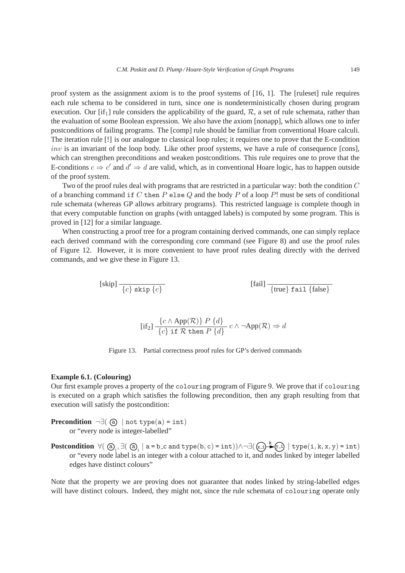proof system as the assignment axiom is to the proof systems of [16, 1]. The [ruleset] rule requires each rule schema to be considered in turn, since one is nondeterministically chosen during program execution. Our [if<sub>1</sub>] rule considers the applicability of the guard,  $\mathcal{R}$ , a set of rule schemata, rather than the evaluation of some Boolean expression. We also have the axiom [nonapp], which allows one to infer postconditions of failing programs. The [comp] rule should be familiar from conventional Hoare calculi. The iteration rule [!] is our analogue to classical loop rules; it requires one to prove that the E-condition  $inv$  is an invariant of the loop body. Like other proof systems, we have a rule of consequence [cons], which can strengthen preconditions and weaken postconditions. This rule requires one to prove that the E-conditions  $c \Rightarrow c'$  and  $d' \Rightarrow d$  are valid, which, as in conventional Hoare logic, has to happen outside of the proof system.

Two of the proof rules deal with programs that are restricted in a particular way: both the condition C of a branching command if C then P else Q and the body P of a loop P! must be sets of conditional rule schemata (whereas GP allows arbitrary programs). This restricted language is complete though in that every computable function on graphs (with untagged labels) is computed by some program. This is proved in [12] for a similar language.

When constructing a proof tree for a program containing derived commands, one can simply replace each derived command with the corresponding core command (see Figure 8) and use the proof rules of Figure 12. However, it is more convenient to have proof rules dealing directly with the derived commands, and we give these in Figure 13.

$$
[fail] \frac{}{\{c\} \text{skip } \{c\}} [fail]
$$

$$
[\text{if}_2] \frac{\{c \land \text{App}(\mathcal{R})\} \, P \, \{d\}}{\{c\} \, \text{if } \mathcal{R} \text{ then } P \, \{d\}} \, c \land \neg \text{App}(\mathcal{R}) \Rightarrow d
$$

Figure 13. Partial correctness proof rules for GP's derived commands

### **Example 6.1. (Colouring)**

Our first example proves a property of the colouring program of Figure 9. We prove that if colouring is executed on a graph which satisfies the following precondition, then any graph resulting from that execution will satisfy the postcondition:

**Precondition**  $\neg \exists (\text{a}) \mid \text{not type}(\text{a}) = \text{int})$ or "every node is integer-labelled"

 $\textbf{Postcondition} \ \forall (\text{ } @_{_1}, \exists (\text{ } @_{_1} \mid a = b \text{\tt .c and type}(b, c) = \text{int})) \land \neg \exists (\text{ } @_{\text{ }1} \} \ \ \text{type}(i, k, x, y) = \text{int})$ or "every node label is an integer with a colour attached to it, and nodes linked by integer labelled edges have distinct colours"

Note that the property we are proving does not guarantee that nodes linked by string-labelled edges will have distinct colours. Indeed, they might not, since the rule schemata of colouring operate only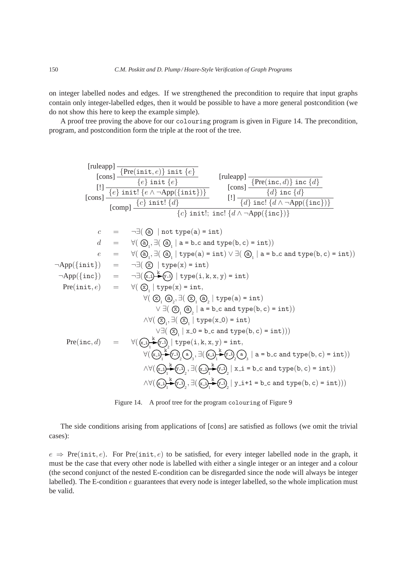on integer labelled nodes and edges. If we strengthened the precondition to require that input graphs contain only integer-labelled edges, then it would be possible to have a more general postcondition (we do not show this here to keep the example simple).

A proof tree proving the above for our colouring program is given in Figure 14. The precondition, program, and postcondition form the triple at the root of the tree.

[ruleapp] {Pre(init, e)} init {e} [cons] {e} init {e} [!] {e} init! {<sup>e</sup> ∧ ¬App({init})} [cons] {c} init! {d} [ruleapp] {Pre(inc, d)} inc {d} [cons] {d} inc {d} [!] {d} inc! {<sup>d</sup> ∧ ¬App({inc})} [comp] {c} init!; inc! {<sup>d</sup> ∧ ¬App({inc})} c = ¬∃( a | not type(a) = int) d = ∀( a 1 , ∃( a 1 | a = b c and type(b, c) = int)) e = ∀( a 1 , ∃( a 1 | type(a) = int) ∨ ∃( a 1 | a = b c and type(b, c) = int)) ¬App({init}) = ¬∃( x | type(x) = int) ¬App({inc}) = ¬∃( x i y i k | type(i, k, x, y) = int) Pre(init, e) = ∀( x 1 | type(x) = int, ∀( x 1 a 2 , ∃( x 1 a 2 | type(a) = int) ∨ ∃( x 1 a 2 | a = b c and type(b, c) = int)) ∧∀( x 1 , ∃( x 1 | type(x 0) = int) ∨∃( x 1 | x 0 = b c and type(b, c) = int))) Pre(inc, d) = ∀( x i y i 1 2 k | type(i, k, x, y) = int, ∀( x i y i a 1 2 3 k , ∃( x i y i a 1 2 3 k | a = b c and type(b, c) = int)) ∧∀( x i y i 1 2 k , ∃( x i y i 1 2 k | x i = b c and type(b, c) = int)) ∧∀( x i y i 1 2 k , ∃( x i y i 1 2 k | y i+1 = b c and type(b, c) = int)))



The side conditions arising from applications of [cons] are satisfied as follows (we omit the trivial cases):

 $e \Rightarrow \text{Pre}(\text{init}, e)$ . For  $\text{Pre}(\text{init}, e)$  to be satisfied, for every integer labelled node in the graph, it must be the case that every other node is labelled with either a single integer or an integer and a colour (the second conjunct of the nested E-condition can be disregarded since the node will always be integer labelled). The E-condition e guarantees that every node is integer labelled, so the whole implication must be valid.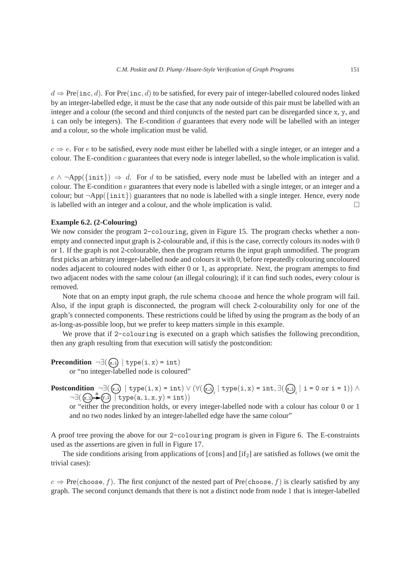$d \Rightarrow \text{Pre}(inc, d)$ . For Pre(inc, d) to be satisfied, for every pair of integer-labelled coloured nodes linked by an integer-labelled edge, it must be the case that any node outside of this pair must be labelled with an integer and a colour (the second and third conjuncts of the nested part can be disregarded since x, y, and  $i$  can only be integers). The E-condition  $d$  guarantees that every node will be labelled with an integer and a colour, so the whole implication must be valid.

 $c \Rightarrow e$ . For e to be satisfied, every node must either be labelled with a single integer, or an integer and a colour. The E-condition  $c$  guarantees that every node is integer labelled, so the whole implication is valid.

 $e \wedge \neg \text{App}(\{\text{init}\}) \Rightarrow d$ . For d to be satisfied, every node must be labelled with an integer and a colour. The E-condition e guarantees that every node is labelled with a single integer, or an integer and a colour; but  $\neg \text{App}(\{\text{init}\})$  guarantees that no node is labelled with a single integer. Hence, every node is labelled with an integer and a colour, and the whole implication is valid.

## **Example 6.2. (2-Colouring)**

We now consider the program 2-colouring, given in Figure 15. The program checks whether a nonempty and connected input graph is 2-colourable and, if this is the case, correctly colours its nodes with 0 or 1. If the graph is not 2-colourable, then the program returns the input graph unmodified. The program first picks an arbitrary integer-labelled node and colours it with 0, before repeatedly colouring uncoloured nodes adjacent to coloured nodes with either 0 or 1, as appropriate. Next, the program attempts to find two adjacent nodes with the same colour (an illegal colouring); if it can find such nodes, every colour is removed.

Note that on an empty input graph, the rule schema choose and hence the whole program will fail. Also, if the input graph is disconnected, the program will check 2-colourability only for one of the graph's connected components. These restrictions could be lifted by using the program as the body of an as-long-as-possible loop, but we prefer to keep matters simple in this example.

We prove that if 2-colouring is executed on a graph which satisfies the following precondition, then any graph resulting from that execution will satisfy the postcondition:

**Precondition**  $\neg \exists (\mathbf{x} \cdot \mathbf{i}) | \text{type}(i, \mathbf{x}) = \text{int}$ 

or "no integer-labelled node is coloured"

**Postcondition** ¬∃( x i | type(i, x) = int) ∨ (∀( 1 x i | type(i, x) = int, ∃( x i 1 | i = 0 or i = 1)) ∧ ¬∃( x i y i a | type(a, i, x, y) = int))

or "either the precondition holds, or every integer-labelled node with a colour has colour 0 or 1 and no two nodes linked by an integer-labelled edge have the same colour"

A proof tree proving the above for our 2-colouring program is given in Figure 6. The E-constraints used as the assertions are given in full in Figure 17.

The side conditions arising from applications of  $[cons]$  and  $[if_2]$  are satisfied as follows (we omit the trivial cases):

 $c \Rightarrow \text{Pre}(\text{choose}, f)$ . The first conjunct of the nested part of Pre(choose, f) is clearly satisfied by any graph. The second conjunct demands that there is not a distinct node from node 1 that is integer-labelled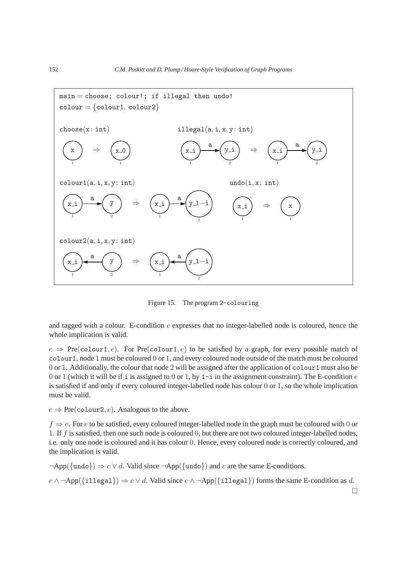

Figure 15. The program 2-colouring

and tagged with a colour. E-condition  $c$  expresses that no integer-labelled node is coloured, hence the whole implication is valid.

 $e \Rightarrow \text{Pre}(\text{colour1}, e)$ . For  $\text{Pre}(\text{colour1}, e)$  to be satisfied by a graph, for every possible match of colour1, node 1 must be coloured 0 or 1, and every coloured node outside of the match must be coloured 0 or 1. Additionally, the colour that node 2 will be assigned after the application of colour1 must also be 0 or 1 (which it will be if i is assigned to 0 or 1, by 1-i in the assignment constraint). The E-condition  $e$ is satisfied if and only if every coloured integer-labelled node has colour 0 or 1, so the whole implication must be valid.

 $e \Rightarrow \text{Pre}(\text{colour2}, e)$ . Analogous to the above.

 $f \Rightarrow e$ . For e to be satisfied, every coloured integer-labelled node in the graph must be coloured with 0 or 1. If f is satisfied, then one such node is coloured 0, but there are not two coloured integer-labelled nodes, i.e. only one node is coloured and it has colour 0. Hence, every coloured node is correctly coloured, and the implication is valid.

 $\neg$ App({undo})  $\Rightarrow$  c  $\lor$  d. Valid since  $\neg$ App({undo}) and c are the same E-conditions.

 $e \wedge \neg \text{App}(\{\text{illegal}\}) \Rightarrow c \vee d$ . Valid since  $e \wedge \neg \text{App}(\{\text{illegal}\})$  forms the same E-condition as d.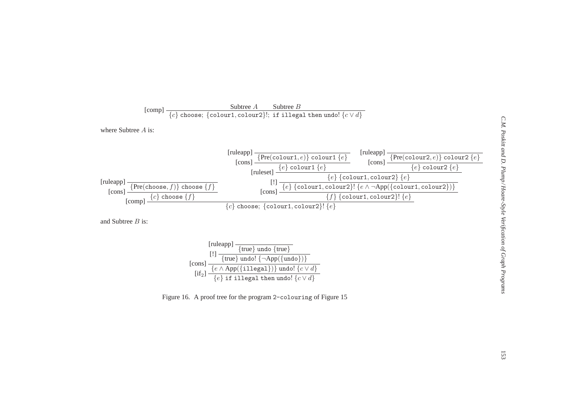

 ${\rm [if_2]}\frac{\{e \wedge \mathrm{App}(\{\texttt{illegal}\})\}\ \text{undo!}\ \{c \vee d\}}{\{c \vee \{c \}\} \mathcal{L}}$  ${e}$  if illegal then undo!  ${c \vee d}$ 

Figure 16. A proof tree for the program 2-colouring of Figure <sup>15</sup>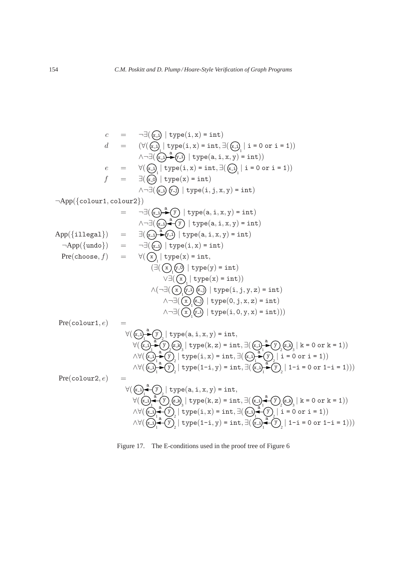c = ¬∃( x i | type(i, x) = int) d = (∀( 1 x i | type(i, x) = int, ∃( x i 1 | i = 0 or i = 1)) ∧¬∃( x i y i a | type(a, i, x, y) = int)) e = ∀( 1 x i | type(i, x) = int, ∃( 1 x i | i = 0 or i = 1)) f = ∃( x 0 | type(x) = int) ∧¬∃( x i y j | type(i, j, x, y) = int) ¬App({colour1, colour2}) = ¬∃( x i y a | type(a, i, x, y) = int) ∧¬∃( x i y a | type(a, i, x, y) = int) App({illegal}) = ∃( x i y i a | type(a, i, x, y) = int) ¬App({undo}) = ¬∃( x i | type(i, x) = int) Pre(choose, f) = ∀( 1 x | type(x) = int, (∃( 1 x y 0 | type(y) = int) ∨∃( 1 x | type(x) = int)) ∧(¬∃( 1 x y i z j | type(i, j, y, z) = int) ∧¬∃( 1 x z j | type(0, j, x, z) = int) ∧¬∃( 1 x y i | type(i, 0, y, x) = int))) Pre(colour1, e) = ∀( 1 x i y 2 a | type(a, i, x, y) = int, ∀( x i 1 y 2 z k 3 a | type(k, z) = int, ∃( x i 1 y 2 z k 3 a | k = 0 or k = 1)) ∧∀( x i 1 y 2 a | type(i, x) = int, ∃( 1 x i y 2 a | i = 0 or i = 1)) ∧∀( 1 x i 2 y a | type(1-i, y) = int, ∃( 1 x i 2 y a | 1-i = 0 or 1-i = 1))) Pre(colour2, e) = ∀( 1 x i y 2 a | type(a, i, x, y) = int, ∀( x i 1 2 y z k 3 a | type(k, z) = int, ∃( x i 1 y 2 z k 3 a | k = 0 or k = 1)) ∧∀( 1 x i y 2 a | type(i, x) = int, ∃( x i 1 2 y a | i = 0 or i = 1)) ∧∀( 1 x i 2 y a | type(1-i, y) = int, ∃( 1 x i 2 y a | 1-i = 0 or 1-i = 1)))

Figure 17. The E-conditions used in the proof tree of Figure 6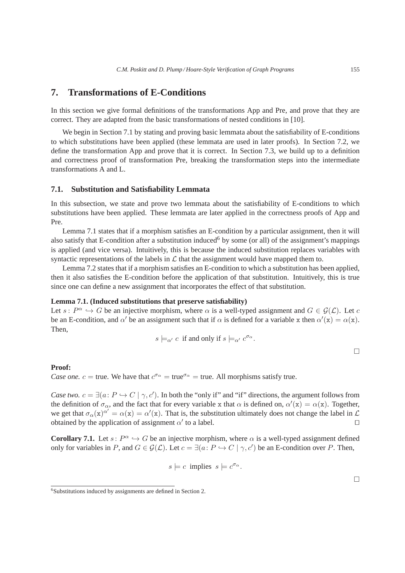## **7. Transformations of E-Conditions**

In this section we give formal definitions of the transformations App and Pre, and prove that they are correct. They are adapted from the basic transformations of nested conditions in [10].

We begin in Section 7.1 by stating and proving basic lemmata about the satisfiability of E-conditions to which substitutions have been applied (these lemmata are used in later proofs). In Section 7.2, we define the transformation App and prove that it is correct. In Section 7.3, we build up to a definition and correctness proof of transformation Pre, breaking the transformation steps into the intermediate transformations A and L.

## **7.1. Substitution and Satisfiability Lemmata**

In this subsection, we state and prove two lemmata about the satisfiability of E-conditions to which substitutions have been applied. These lemmata are later applied in the correctness proofs of App and Pre.

Lemma 7.1 states that if a morphism satisfies an E-condition by a particular assignment, then it will also satisfy that E-condition after a substitution induced<sup>6</sup> by some (or all) of the assignment's mappings is applied (and vice versa). Intuitively, this is because the induced substitution replaces variables with syntactic representations of the labels in  $\mathcal L$  that the assignment would have mapped them to.

Lemma 7.2 states that if a morphism satisfies an E-condition to which a substitution has been applied, then it also satisfies the E-condition before the application of that substitution. Intuitively, this is true since one can define a new assignment that incorporates the effect of that substitution.

#### **Lemma 7.1. (Induced substitutions that preserve satisfiability)**

Let  $s: P^{\alpha} \hookrightarrow G$  be an injective morphism, where  $\alpha$  is a well-typed assignment and  $G \in \mathcal{G}(\mathcal{L})$ . Let c be an E-condition, and  $\alpha'$  be an assignment such that if  $\alpha$  is defined for a variable x then  $\alpha'(x) = \alpha(x)$ . Then,

$$
s \models_{\alpha'} c \text{ if and only if } s \models_{\alpha'} c^{\sigma_{\alpha}}.
$$

 $\Box$ 

 $\Box$ 

#### **Proof:**

*Case one.*  $c = \text{true}$ . We have that  $c^{\sigma_{\alpha}} = \text{true}^{\sigma_{\alpha}} = \text{true}$ . All morphisms satisfy true.

*Case two.*  $c = \exists (a: P \hookrightarrow C \mid \gamma, c')$ . In both the "only if" and "if" directions, the argument follows from the definition of  $\sigma_{\alpha}$ , and the fact that for every variable x that  $\alpha$  is defined on,  $\alpha'(x) = \alpha(x)$ . Together, we get that  $\sigma_{\alpha}(x)^{\alpha'} = \alpha(x) = \alpha'(x)$ . That is, the substitution ultimately does not change the label in  $\mathcal L$ obtained by the application of assignment  $\alpha'$  to a label.  $\Box$ 

**Corollary 7.1.** Let  $s: P^{\alpha} \hookrightarrow G$  be an injective morphism, where  $\alpha$  is a well-typed assignment defined only for variables in P, and  $G \in \mathcal{G}(\mathcal{L})$ . Let  $c = \exists (a : P \hookrightarrow C \mid \gamma, c')$  be an E-condition over P. Then,

$$
s \models c \text{ implies } s \models c^{\sigma_{\alpha}}.
$$

<sup>6</sup> Substitutions induced by assignments are defined in Section 2.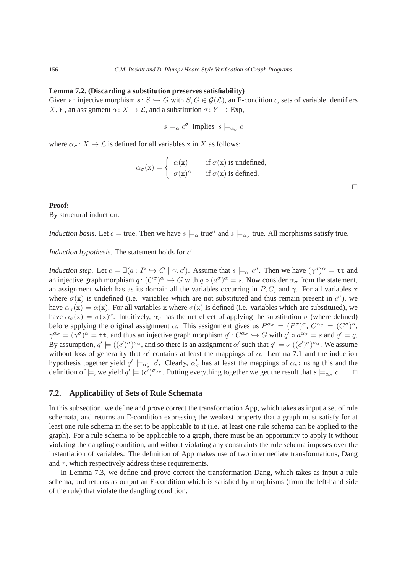#### **Lemma 7.2. (Discarding a substitution preserves satisfiability)**

Given an injective morphism  $s: S \hookrightarrow G$  with  $S, G \in \mathcal{G}(\mathcal{L})$ , an E-condition c, sets of variable identifiers X, Y, an assignment  $\alpha: X \to \mathcal{L}$ , and a substitution  $\sigma: Y \to \text{Exp}$ ,

$$
s \models_{\alpha} c^{\sigma} \text{ implies } s \models_{\alpha_{\sigma}} c
$$

where  $\alpha_{\sigma} : X \to \mathcal{L}$  is defined for all variables x in X as follows:

$$
\alpha_{\sigma}(\mathbf{x}) = \begin{cases} \alpha(\mathbf{x}) & \text{if } \sigma(\mathbf{x}) \text{ is undefined,} \\ \sigma(\mathbf{x})^{\alpha} & \text{if } \sigma(\mathbf{x}) \text{ is defined.} \end{cases}
$$

 $\Box$ 

#### **Proof:**

By structural induction.

*Induction basis.* Let  $c = \text{true}$ . Then we have  $s \models_{\alpha} \text{true}^{\sigma}$  and  $s \models_{\alpha_{\sigma}} \text{true}$ . All morphisms satisfy true.

*Induction hypothesis.* The statement holds for  $c'$ .

*Induction step.* Let  $c = \exists (a : P \hookrightarrow C \mid \gamma, c')$ . Assume that  $s \models_{\alpha} c^{\sigma}$ . Then we have  $(\gamma^{\sigma})^{\alpha} = \texttt{tt}$  and an injective graph morphism  $q: (C^{\sigma})^{\alpha} \hookrightarrow G$  with  $q \circ (a^{\sigma})^{\alpha} = s$ . Now consider  $\alpha_{\sigma}$  from the statement, an assignment which has as its domain all the variables occurring in P, C, and  $\gamma$ . For all variables x where  $\sigma(x)$  is undefined (i.e. variables which are not substituted and thus remain present in  $c^{\sigma}$ ), we have  $\alpha_{\sigma}(\mathbf{x}) = \alpha(\mathbf{x})$ . For all variables x where  $\sigma(\mathbf{x})$  is defined (i.e. variables which are substituted), we have  $\alpha_{\sigma}(x) = \sigma(x)^{\alpha}$ . Intuitively,  $\alpha_{\sigma}$  has the net effect of applying the substitution  $\sigma$  (where defined) before applying the original assignment  $\alpha$ . This assignment gives us  $P^{\alpha_{\sigma}} = (P^{\sigma})^{\alpha}$ ,  $C^{\alpha_{\sigma}} = (C^{\sigma})^{\alpha}$ ,  $\gamma^{\alpha_{\sigma}} = (\gamma^{\sigma})^{\alpha} = \texttt{tt}$ , and thus an injective graph morphism  $q' : C^{\alpha_{\sigma}} \hookrightarrow G$  with  $q' \circ a^{\alpha_{\sigma}} = s$  and  $q' = q$ . By assumption,  $q' \models ((c')^{\sigma})^{\sigma_{\alpha}}$ , and so there is an assignment  $\alpha'$  such that  $q' \models_{\alpha'} ((c')^{\sigma})^{\sigma_{\alpha}}$ . We assume without loss of generality that  $\alpha'$  contains at least the mappings of  $\alpha$ . Lemma 7.1 and the induction hypothesis together yield  $q' \models_{\alpha'_\sigma} c'$ . Clearly,  $\alpha'_\sigma$  has at least the mappings of  $\alpha_\sigma$ ; using this and the definition of  $\models$ , we yield  $q' \models (c')^{\sigma_{\alpha_{\sigma}}}$ . Putting everything together we get the result that  $s \models_{\alpha_{\sigma}} c$ .  $\Box$ 

## **7.2. Applicability of Sets of Rule Schemata**

In this subsection, we define and prove correct the transformation App, which takes as input a set of rule schemata, and returns an E-condition expressing the weakest property that a graph must satisfy for at least one rule schema in the set to be applicable to it (i.e. at least one rule schema can be applied to the graph). For a rule schema to be applicable to a graph, there must be an opportunity to apply it without violating the dangling condition, and without violating any constraints the rule schema imposes over the instantiation of variables. The definition of App makes use of two intermediate transformations, Dang and  $\tau$ , which respectively address these requirements.

In Lemma 7.3, we define and prove correct the transformation Dang, which takes as input a rule schema, and returns as output an E-condition which is satisfied by morphisms (from the left-hand side of the rule) that violate the dangling condition.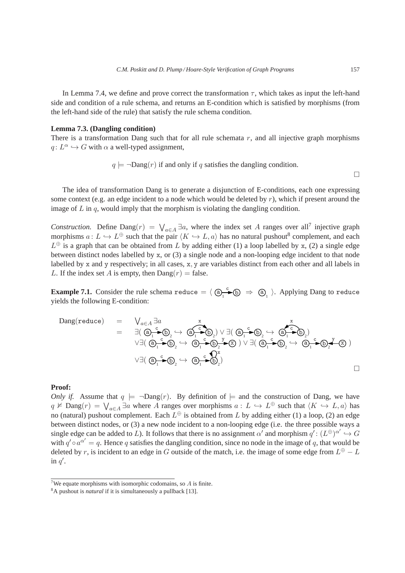In Lemma 7.4, we define and prove correct the transformation  $\tau$ , which takes as input the left-hand side and condition of a rule schema, and returns an E-condition which is satisfied by morphisms (from the left-hand side of the rule) that satisfy the rule schema condition.

#### **Lemma 7.3. (Dangling condition)**

There is a transformation Dang such that for all rule schemata  $r$ , and all injective graph morphisms  $q: L^{\alpha} \hookrightarrow G$  with  $\alpha$  a well-typed assignment,

$$
q \models \neg \text{Dang}(r)
$$
 if and only if q satisfies the danging condition.

 $\hfill\square$ 

The idea of transformation Dang is to generate a disjunction of E-conditions, each one expressing some context (e.g. an edge incident to a node which would be deleted by  $r$ ), which if present around the image of  $L$  in  $q$ , would imply that the morphism is violating the dangling condition.

*Construction.* Define Dang $(r) = \bigvee_{a \in A} \exists a$ , where the index set A ranges over all<sup>7</sup> injective graph morphisms  $a: L \hookrightarrow L^{\oplus}$  such that the pair  $\langle K \hookrightarrow L, a \rangle$  has no natural pushout<sup>8</sup> complement, and each  $L^{\oplus}$  is a graph that can be obtained from L by adding either (1) a loop labelled by x, (2) a single edge between distinct nodes labelled by x, or (3) a single node and a non-looping edge incident to that node labelled by x and y respectively; in all cases, x, y are variables distinct from each other and all labels in L. If the index set A is empty, then  $\text{Dang}(r) = \text{false}$ .

**Example 7.1.** Consider the rule schema reduce  $= \langle \bigcirc \frac{c}{1} \rightarrow \bigcirc \bigcirc \Rightarrow \bigcirc \bigcirc \rangle$ . Applying Dang to reduce yields the following E-condition:

$$
\begin{array}{lcl} \text{Dang}(\text{reduce}) & = & \bigvee_{a \in A} \exists a & x \\ & = & \exists (\bigcircled{a_1} \stackrel{c}{\rightarrow} \bigcircled{b_2} \rightarrow \bigcircled{a_1} \stackrel{c}{\rightarrow} \bigcircled{b_2}) \vee \exists (\bigcircled{a_1} \stackrel{c}{\rightarrow} \bigcircled{b_2} \rightarrow \bigcircled{a_1} \stackrel{c}{\rightarrow} \bigcircled{b_2}) \\ & & \vee \exists (\bigcircled{a_1} \stackrel{c}{\rightarrow} \bigcircled{b_2} \rightarrow \bigcircled{a_1} \stackrel{c}{\rightarrow} \bigcircled{b_2} \stackrel{y}{\rightarrow} \bigcircled{x}) \vee \exists (\bigcircled{a_1} \stackrel{c}{\rightarrow} \bigcircled{b_2} \rightarrow \bigcircled{a_1} \stackrel{z}{\rightarrow} \bigcircled{b_2}) \\ & & \vee \exists (\bigcircled{a_1} \stackrel{c}{\rightarrow} \bigcircled{b_2} \rightarrow \bigcircled{a_1} \stackrel{c}{\rightarrow} \bigcircled{b_2}) \end{array}
$$

#### **Proof:**

*Only if.* Assume that  $q \models \neg \text{Dang}(r)$ . By definition of  $\models$  and the construction of Dang, we have  $q \nvDash \text{Dang}(r) = \bigvee_{a \in A} \exists a$  where A ranges over morphisms  $a: L \hookrightarrow L^{\oplus}$  such that  $\langle K \hookrightarrow L, a \rangle$  has no (natural) pushout complement. Each  $L^{\oplus}$  is obtained from L by adding either (1) a loop, (2) an edge between distinct nodes, or (3) a new node incident to a non-looping edge (i.e. the three possible ways a single edge can be added to L). It follows that there is no assignment  $\alpha'$  and morphism  $q' : (L^{\oplus})^{\alpha'} \hookrightarrow G$ with  $q' \circ a^{\alpha'} = q$ . Hence q satisfies the dangling condition, since no node in the image of q, that would be deleted by r, is incident to an edge in G outside of the match, i.e. the image of some edge from  $L^{\oplus} - L$ in  $q'$ .

<sup>&</sup>lt;sup>7</sup>We equate morphisms with isomorphic codomains, so  $\ddot{A}$  is finite.

<sup>8</sup>A pushout is *natural* if it is simultaneously a pullback [13].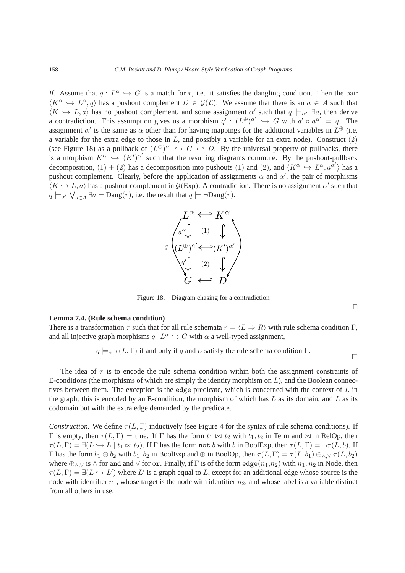*If.* Assume that  $q: L^{\alpha} \hookrightarrow G$  is a match for r, i.e. it satisfies the dangling condition. Then the pair  $\langle K^{\alpha} \hookrightarrow L^{\alpha}, q \rangle$  has a pushout complement  $D \in \mathcal{G}(\mathcal{L})$ . We assume that there is an  $a \in A$  such that  $\langle K \hookrightarrow L, a \rangle$  has no pushout complement, and some assignment  $\alpha'$  such that  $q \models_{\alpha'} \exists a$ , then derive a contradiction. This assumption gives us a morphism  $q' : (L^{\oplus})^{\alpha'} \hookrightarrow G$  with  $q' \circ a^{\alpha'} = q$ . The assignment  $\alpha'$  is the same as  $\alpha$  other than for having mappings for the additional variables in  $L^{\oplus}$  (i.e. a variable for the extra edge to those in  $L$ , and possibly a variable for an extra node). Construct  $(2)$ (see Figure 18) as a pullback of  $(L^{\oplus})^{\alpha'} \hookrightarrow G \leftrightarrow D$ . By the universal property of pullbacks, there is a morphism  $K^{\alpha} \hookrightarrow (K')^{\alpha'}$  such that the resulting diagrams commute. By the pushout-pullback decomposition,  $(1) + (2)$  has a decomposition into pushouts (1) and (2), and  $\langle K^{\alpha} \rightarrow L^{\alpha}, a^{\alpha'} \rangle$  has a pushout complement. Clearly, before the application of assignments  $\alpha$  and  $\alpha'$ , the pair of morphisms  $\langle K \hookrightarrow L, a \rangle$  has a pushout complement in  $\mathcal{G}(\text{Exp})$ . A contradiction. There is no assignment  $\alpha'$  such that  $q \models_{\alpha'} \bigvee_{a \in A} \exists a = \text{Dang}(r)$ , i.e. the result that  $q \models \neg \text{Dang}(r)$ .



Figure 18. Diagram chasing for a contradiction

#### **Lemma 7.4. (Rule schema condition)**

There is a transformation  $\tau$  such that for all rule schemata  $r = \langle L \Rightarrow R \rangle$  with rule schema condition Γ, and all injective graph morphisms  $q: L^{\alpha} \hookrightarrow G$  with  $\alpha$  a well-typed assignment,

$$
q \models_{\alpha} \tau(L, \Gamma)
$$
 if and only if q and  $\alpha$  satisfy the rule schema condition  $\Gamma$ .

The idea of  $\tau$  is to encode the rule schema condition within both the assignment constraints of E-conditions (the morphisms of which are simply the identity morphism on  $L$ ), and the Boolean connectives between them. The exception is the edge predicate, which is concerned with the context of  $L$  in the graph; this is encoded by an E-condition, the morphism of which has  $L$  as its domain, and  $L$  as its codomain but with the extra edge demanded by the predicate.

*Construction.* We define  $\tau(L, \Gamma)$  inductively (see Figure 4 for the syntax of rule schema conditions). If Γ is empty, then  $τ(L, Γ)$  = true. If Γ has the form  $t_1 \Join t_2$  with  $t_1, t_2$  in Term and  $\Join$  in RelOp, then  $\tau(L,\Gamma) = \exists (L \hookrightarrow L \mid t_1 \bowtie t_2)$ . If  $\Gamma$  has the form not b with b in BoolExp, then  $\tau(L,\Gamma) = \neg \tau(L,b)$ . If Γ has the form  $b_1 ⊕ b_2$  with  $b_1, b_2$  in BoolExp and ⊕ in BoolOp, then  $\tau(L, \Gamma) = \tau(L, b_1) ⊕_{∧}$   $\tau(L, b_2)$ where  $\oplus_{\land,\lor}$  is  $\land$  for and and  $\lor$  for or. Finally, if  $\Gamma$  is of the form edge $(n_1,n_2)$  with  $n_1, n_2$  in Node, then  $\tau(L,\Gamma) = \exists (L \hookrightarrow L')$  where L' is a graph equal to L, except for an additional edge whose source is the node with identifier  $n_1$ , whose target is the node with identifier  $n_2$ , and whose label is a variable distinct from all others in use.

⊓⊔

 $\Box$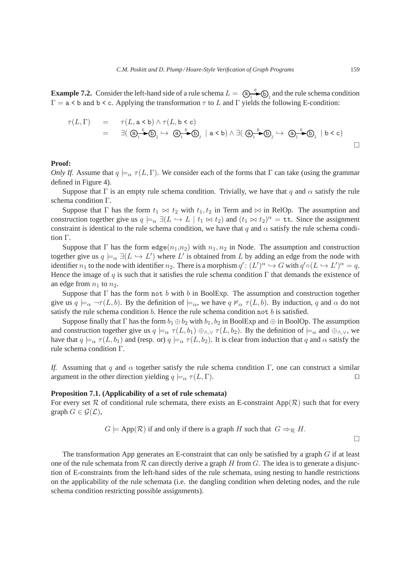**Example 7.2.** Consider the left-hand side of a rule schema  $L = \bigoplus_{i} A_i \bullet \bigoplus_{i} D_i$  $\epsilon$   $\rightarrow$   $\odot$  and the rule schema condition  $\Gamma = a \leq b$  and  $b \leq c$ . Applying the transformation  $\tau$  to L and  $\Gamma$  yields the following E-condition:

$$
\tau(L,\Gamma) = \tau(L,a < b) \land \tau(L,b < c)
$$
  
=  $\exists (\bigcirc_{1}^{c} \bigcirc \bigcirc_{2} \hookrightarrow \bigcirc_{1}^{c} \bigcirc \bigcirc_{2} | a < b) \land \exists (\bigcirc_{1}^{c} \bigcirc \bigcirc_{2} \hookrightarrow \bigcirc_{1}^{c} \bigcirc \bigcirc_{2} | b < c)$ 

#### **Proof:**

*Only If.* Assume that  $q \models_{\alpha} \tau(L, \Gamma)$ . We consider each of the forms that  $\Gamma$  can take (using the grammar defined in Figure 4).

Suppose that Γ is an empty rule schema condition. Trivially, we have that q and  $\alpha$  satisfy the rule schema condition Γ.

Suppose that Γ has the form  $t_1 \bowtie t_2$  with  $t_1, t_2$  in Term and  $\bowtie$  in RelOp. The assumption and construction together give us  $q \models_{\alpha} \exists (L \leftrightarrow L \mid t_1 \Join t_2)$  and  $(t_1 \Join t_2)^{\alpha} = \texttt{tt}$ . Since the assignment constraint is identical to the rule schema condition, we have that q and  $\alpha$  satisfy the rule schema condition Γ.

Suppose that Γ has the form edge $(n_1,n_2)$  with  $n_1, n_2$  in Node. The assumption and construction together give us  $q \models_{\alpha} \exists (L \hookrightarrow L')$  where L' is obtained from L by adding an edge from the node with identifier  $n_1$  to the node with identifier  $n_2$ . There is a morphism  $q' : (L')^{\alpha} \hookrightarrow G$  with  $q' \circ (L \hookrightarrow L')^{\alpha} = q$ . Hence the image of q is such that it satisfies the rule schema condition  $\Gamma$  that demands the existence of an edge from  $n_1$  to  $n_2$ .

Suppose that  $\Gamma$  has the form not b with b in BoolExp. The assumption and construction together give us  $q \models_{\alpha} \neg \tau(L, b)$ . By the definition of  $\models_{\alpha}$ , we have  $q \nvDash_{\alpha} \tau(L, b)$ . By induction, q and  $\alpha$  do not satisfy the rule schema condition  $b$ . Hence the rule schema condition not  $b$  is satisfied.

Suppose finally that Γ has the form  $b_1 \oplus b_2$  with  $b_1, b_2$  in BoolExp and  $\oplus$  in BoolOp. The assumption and construction together give us  $q \models_{\alpha} \tau(L, b_1) \oplus_{\land, \lor} \tau(L, b_2)$ . By the definition of  $\models_{\alpha}$  and  $\oplus_{\land, \lor}$ , we have that  $q \models_{\alpha} \tau(L, b_1)$  and (resp. or)  $q \models_{\alpha} \tau(L, b_2)$ . It is clear from induction that q and  $\alpha$  satisfy the rule schema condition Γ.

*If.* Assuming that q and  $\alpha$  together satisfy the rule schema condition Γ, one can construct a similar argument in the other direction yielding  $q \models_{\alpha} \tau(L, \Gamma)$ . □

### **Proposition 7.1. (Applicability of a set of rule schemata)**

For every set R of conditional rule schemata, there exists an E-constraint App(R) such that for every graph  $G \in \mathcal{G}(\mathcal{L}),$ 

$$
G \models
$$
 App( $\mathcal{R}$ ) if and only if there is a graph H such that  $G \Rightarrow_{\mathcal{R}} H$ .

 $\Box$ 

The transformation App generates an E-constraint that can only be satisfied by a graph  $G$  if at least one of the rule schemata from  $R$  can directly derive a graph H from G. The idea is to generate a disjunction of E-constraints from the left-hand sides of the rule schemata, using nesting to handle restrictions on the applicability of the rule schemata (i.e. the dangling condition when deleting nodes, and the rule schema condition restricting possible assignments).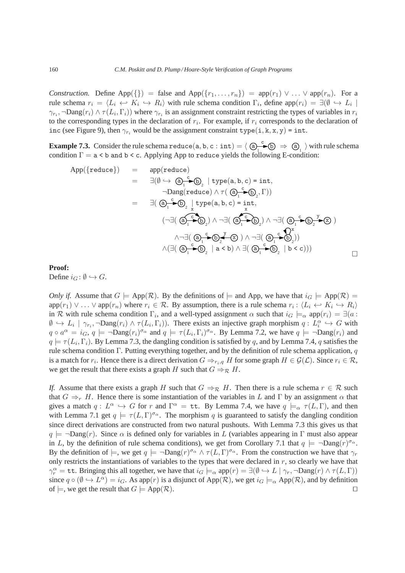*Construction.* Define App({}) = false and App( $\{r_1, \ldots, r_n\}$ ) = app( $r_1$ )  $\vee \ldots \vee$  app( $r_n$ ). For a rule schema  $r_i = \langle L_i \leftrightarrow K_i \hookrightarrow R_i \rangle$  with rule schema condition  $\Gamma_i$ , define app $(r_i) = \exists (\emptyset \hookrightarrow L_i \mid$  $\gamma_{r_i}$ ,  $\neg$ Dang $(r_i) \wedge \tau(L_i, \Gamma_i)$ ) where  $\gamma_{r_i}$  is an assignment constraint restricting the types of variables in  $r_i$ to the corresponding types in the declaration of  $r_i$ . For example, if  $r_i$  corresponds to the declaration of inc (see Figure 9), then  $\gamma_{r_i}$  would be the assignment constraint type(i, k, x, y) = int.

**Example 7.3.** Consider the rule schema reduce(a, b, c: int) =  $\left\langle \bigoplus_{i=1}^{n} \mathfrak{S} \right\rangle \Rightarrow \bigoplus_{i=1}^{n}$  with rule schema condition  $\Gamma = a < b$  and  $b < c$ . Applying App to reduce yields the following E-condition:

$$
App({\text{reduce}}) = \text{app}(\text{reduce})
$$
\n
$$
= \exists (\emptyset \leftrightarrow \textcircled{a}_{1} \text{--} \textcircled{b}_{2} | \text{type}(a, b, c) = \text{int},
$$
\n
$$
\neg \text{Dang}(\text{reduce}) \land \tau(\textcircled{a}_{1} \text{--} \textcircled{b}_{2}, \Gamma))
$$
\n
$$
= \exists (\textcircled{a}_{1} \text{--} \textcircled{b}_{2} | \text{type}(a, b, c) = \text{int},
$$
\n
$$
(\neg \exists (\textcircled{a}_{1} \text{--} \textcircled{b}_{2}) \land \neg \exists (\textcircled{a}_{1} \text{--} \textcircled{b}_{2}) \land \neg \exists (\textcircled{a}_{1} \text{--} \textcircled{b}_{2} \text{--} \textcircled{b}_{2})
$$
\n
$$
\land \neg \exists (\textcircled{a}_{1} \text{--} \textcircled{b}_{2} | \text{a} < b) \land \exists (\textcircled{a}_{1} \text{--} \textcircled{b}_{2} | \text{b} < c)))
$$

## **Proof:**

Define  $i_G : \emptyset \hookrightarrow G$ .

*Only if.* Assume that  $G \models App(\mathcal{R})$ . By the definitions of  $\models$  and App, we have that  $i_G \models App(\mathcal{R}) =$  $app(r_1) \vee \ldots \vee app(r_n)$  where  $r_i \in \mathcal{R}$ . By assumption, there is a rule schema  $r_i: \langle L_i \leftrightarrow K_i \hookrightarrow R_i \rangle$ in R with rule schema condition  $\Gamma_i$ , and a well-typed assignment  $\alpha$  such that  $i_G \models_\alpha$  app $(r_i) = \exists (a :$  $\emptyset \hookrightarrow L_i \mid \gamma_{r_i}$ ,  $\neg$ Dang $(r_i) \wedge \tau(L_i, \Gamma_i)$ . There exists an injective graph morphism  $q: L_i^{\alpha} \hookrightarrow G$  with  $q \circ a^{\alpha} = i_G, q \models \neg \text{Dang}(r_i)^{\sigma_{\alpha}}$  and  $q \models \tau(L_i, \Gamma_i)^{\sigma_{\alpha}}$ . By Lemma 7.2, we have  $q \models \neg \text{Dang}(r_i)$  and  $q \models \tau(L_i, \Gamma_i)$ . By Lemma 7.3, the dangling condition is satisfied by q, and by Lemma 7.4, q satisfies the rule schema condition Γ. Putting everything together, and by the definition of rule schema application,  $q$ is a match for  $r_i$ . Hence there is a direct derivation  $G \Rightarrow_{r_i,q} H$  for some graph  $H \in \mathcal{G}(\mathcal{L})$ . Since  $r_i \in \mathcal{R}$ , we get the result that there exists a graph H such that  $G \Rightarrow_R H$ .

*If.* Assume that there exists a graph H such that  $G \Rightarrow_{\mathcal{R}} H$ . Then there is a rule schema  $r \in \mathcal{R}$  such that  $G \Rightarrow_{r} H$ . Hence there is some instantiation of the variables in L and Γ by an assignment  $\alpha$  that gives a match  $q: L^{\alpha} \hookrightarrow G$  for r and  $\Gamma^{\alpha} = \texttt{tt}$ . By Lemma 7.4, we have  $q \models_{\alpha} \tau(L, \Gamma)$ , and then with Lemma 7.1 get  $q \models \tau(L, \Gamma)^{\sigma_{\alpha}}$ . The morphism q is guaranteed to satisfy the dangling condition since direct derivations are constructed from two natural pushouts. With Lemma 7.3 this gives us that  $q \models \neg$ Dang(r). Since  $\alpha$  is defined only for variables in L (variables appearing in Γ must also appear in L, by the definition of rule schema conditions), we get from Corollary 7.1 that  $q \models \neg \text{Dang}(r)^{\sigma_{\alpha}}$ . By the definition of  $\models$ , we get  $q \models \neg \text{Dang}(r)^{\sigma_{\alpha}} \wedge \tau(L, \Gamma)^{\sigma_{\alpha}}$ . From the construction we have that  $\gamma_r$ only restricts the instantiations of variables to the types that were declared in  $r$ , so clearly we have that  $\gamma_r^{\alpha} = \texttt{tt}$ . Bringing this all together, we have that  $i_G \models_{\alpha} \text{app}(r) = \exists (\emptyset \leftrightarrow L \mid \gamma_r, \neg \text{Dang}(r) \land \tau(L, \Gamma))$ since  $q \circ (\emptyset \to L^{\alpha}) = i_G$ . As app $(r)$  is a disjunct of App $(\mathcal{R})$ , we get  $i_G \models_{\alpha} \text{App}(\mathcal{R})$ , and by definition of  $\models$ , we get the result that  $G \models App(\mathcal{R})$ . □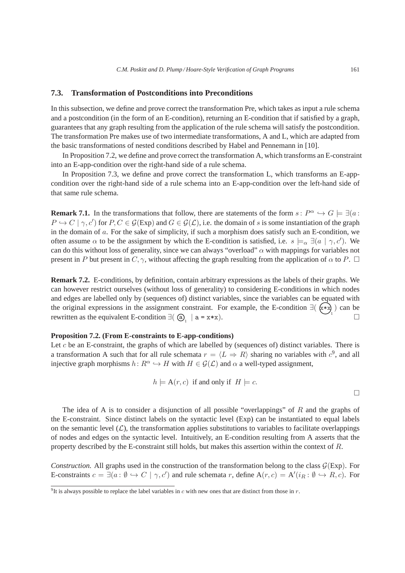## **7.3. Transformation of Postconditions into Preconditions**

In this subsection, we define and prove correct the transformation Pre, which takes as input a rule schema and a postcondition (in the form of an E-condition), returning an E-condition that if satisfied by a graph, guarantees that any graph resulting from the application of the rule schema will satisfy the postcondition. The transformation Pre makes use of two intermediate transformations, A and L, which are adapted from the basic transformations of nested conditions described by Habel and Pennemann in [10].

In Proposition 7.2, we define and prove correct the transformation A, which transforms an E-constraint into an E-app-condition over the right-hand side of a rule schema.

In Proposition 7.3, we define and prove correct the transformation L, which transforms an E-appcondition over the right-hand side of a rule schema into an E-app-condition over the left-hand side of that same rule schema.

**Remark 7.1.** In the transformations that follow, there are statements of the form  $s: P^{\alpha} \hookrightarrow G \models \exists (a: P^{\alpha})$  $P \hookrightarrow C \mid \gamma, c'$  for  $P, C \in \mathcal{G}(\text{Exp})$  and  $G \in \mathcal{G}(\mathcal{L})$ , i.e. the domain of s is some instantiation of the graph in the domain of a. For the sake of simplicity, if such a morphism does satisfy such an E-condition, we often assume  $\alpha$  to be the assignment by which the E-condition is satisfied, i.e.  $s \models_{\alpha} \exists (a \mid \gamma, c')$ . We can do this without loss of generality, since we can always "overload"  $\alpha$  with mappings for variables not present in P but present in  $C, \gamma$ , without affecting the graph resulting from the application of  $\alpha$  to P.  $\Box$ 

**Remark 7.2.** E-conditions, by definition, contain arbitrary expressions as the labels of their graphs. We can however restrict ourselves (without loss of generality) to considering E-conditions in which nodes and edges are labelled only by (sequences of) distinct variables, since the variables can be equated with the original expressions in the assignment constraint. For example, the E-condition  $\exists (\alpha \star \alpha)$  can be rewritten as the equivalent E-condition  $\exists ( \bigcirc_{1} | a = x * x).$ 

#### **Proposition 7.2. (From E-constraints to E-app-conditions)**

Let c be an E-constraint, the graphs of which are labelled by (sequences of) distinct variables. There is a transformation A such that for all rule schemata  $r = \langle L \Rightarrow R \rangle$  sharing no variables with  $c^9$ , and all injective graph morphisms  $h: R^{\alpha} \hookrightarrow H$  with  $H \in \mathcal{G}(\mathcal{L})$  and  $\alpha$  a well-typed assignment,

$$
h \models A(r, c) \text{ if and only if } H \models c.
$$

The idea of A is to consider a disjunction of all possible "overlappings" of  $R$  and the graphs of the E-constraint. Since distinct labels on the syntactic level (Exp) can be instantiated to equal labels on the semantic level  $(\mathcal{L})$ , the transformation applies substitutions to variables to facilitate overlappings of nodes and edges on the syntactic level. Intuitively, an E-condition resulting from A asserts that the property described by the E-constraint still holds, but makes this assertion within the context of R.

*Construction.* All graphs used in the construction of the transformation belong to the class  $G(\text{Exp})$ . For E-constraints  $c = \exists (a : \emptyset \hookrightarrow C \mid \gamma, c')$  and rule schemata r, define  $A(r, c) = A'(i_R : \emptyset \hookrightarrow R, c)$ . For

<sup>&</sup>lt;sup>9</sup>It is always possible to replace the label variables in c with new ones that are distinct from those in r.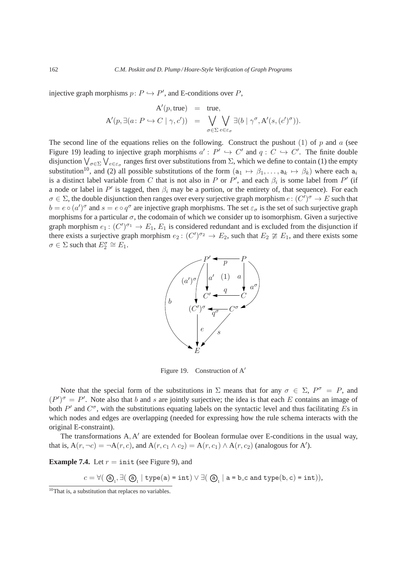injective graph morphisms  $p: P \hookrightarrow P'$ , and E-conditions over P,

$$
\mathbf{A}'(p, \text{true}) = \text{true},
$$
  

$$
\mathbf{A}'(p, \exists (a: P \hookrightarrow C \mid \gamma, c')) = \bigvee_{\sigma \in \Sigma} \bigvee_{e \in \varepsilon_{\sigma}} \exists (b \mid \gamma^{\sigma}, \mathbf{A}'(s, (c')^{\sigma})).
$$

The second line of the equations relies on the following. Construct the pushout (1) of p and a (see Figure 19) leading to injective graph morphisms  $a': P' \hookrightarrow C'$  and  $q: C \hookrightarrow C'$ . The finite double disjunction  $\bigvee_{\sigma\in\Sigma}\bigvee_{e\in\varepsilon_\sigma}$  ranges first over substitutions from  $\Sigma$ , which we define to contain (1) the empty substitution<sup>10</sup>, and (2) all possible substitutions of the form  $(a_1 \mapsto \beta_1, \dots, a_k \mapsto \beta_k)$  where each  $a_i$ is a distinct label variable from C that is not also in P or P', and each  $\beta_i$  is some label from P' (if a node or label in  $P'$  is tagged, then  $\beta_i$  may be a portion, or the entirety of, that sequence). For each  $\sigma \in \Sigma$ , the double disjunction then ranges over every surjective graph morphism  $e: (C')^{\sigma} \to E$  such that  $b = e \circ (a')^{\sigma}$  and  $s = e \circ q^{\sigma}$  are injective graph morphisms. The set  $\varepsilon_{\sigma}$  is the set of such surjective graph morphisms for a particular  $\sigma$ , the codomain of which we consider up to isomorphism. Given a surjective graph morphism  $e_1: (C')^{\sigma_1} \to E_1, E_1$  is considered redundant and is excluded from the disjunction if there exists a surjective graph morphism  $e_2: (C')^{\sigma_2} \to E_2$ , such that  $E_2 \not\cong E_1$ , and there exists some  $\sigma \in \Sigma$  such that  $E_2^{\sigma} \cong E_1$ .



Figure 19. Construction of A′

Note that the special form of the substitutions in  $\Sigma$  means that for any  $\sigma \in \Sigma$ ,  $P^{\sigma} = P$ , and  $(P')^{\sigma} = P'$ . Note also that b and s are jointly surjective; the idea is that each E contains an image of both  $P'$  and  $C^{\sigma}$ , with the substitutions equating labels on the syntactic level and thus facilitating Es in which nodes and edges are overlapping (needed for expressing how the rule schema interacts with the original E-constraint).

The transformations A, A' are extended for Boolean formulae over E-conditions in the usual way, that is,  $A(r, \neg c) = \neg A(r, c)$ , and  $A(r, c_1 \wedge c_2) = A(r, c_1) \wedge A(r, c_2)$  (analogous for A').

**Example 7.4.** Let  $r = \text{init}$  (see Figure 9), and

 $c = \forall (\bigcirc \mathfrak{Q}_1, \exists (\bigcirc \mathfrak{Q}_1 \mid \mathrm{type(a)} = \mathrm{int}) \vee \exists (\bigcirc \mathfrak{Q}_1 \mid \mathrm{a} = \mathrm{b\_c} \text{ and } \mathrm{type(b, c)} = \mathrm{int})),$ 

 $\frac{10}{10}$ That is, a substitution that replaces no variables.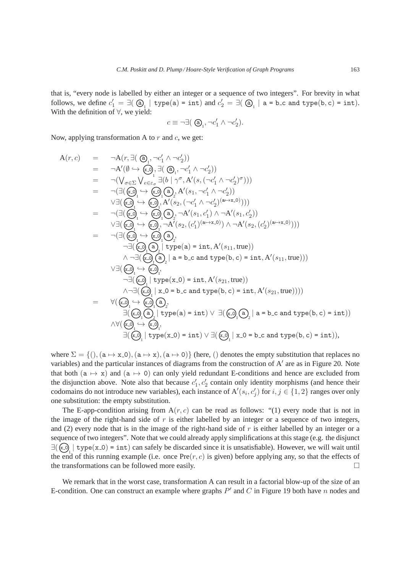that is, "every node is labelled by either an integer or a sequence of two integers". For brevity in what follows, we define  $c'_1 = \exists (\bigcirc a_1 \mid \text{type}(a) = \text{int})$  and  $c'_2 = \exists (\bigcirc a_1 \mid a = b \text{ c and type}(b, c) = \text{int}).$ With the definition of ∀, we yield:

$$
c \equiv \neg \exists (\bigcirc A_1, \neg c_1' \land \neg c_2').
$$

Now, applying transformation A to  $r$  and  $c$ , we get:

$$
A(r, c) = \neg A(r, \exists (\Theta_1, \neg c'_1 \land \neg c'_2))
$$
\n
$$
= \neg A'(\emptyset \leftrightarrow \{c_0\}, \exists (\Theta_1, \neg c'_1 \land \neg c'_2))
$$
\n
$$
= \neg (\bigvee_{\sigma \in \Sigma} \bigvee_{e \in \epsilon_{\sigma}} \exists (b \mid \gamma^{\sigma}, A'(s, (\neg c'_1 \land \neg c'_2)^{\sigma})))
$$
\n
$$
= \neg (\exists (\emptyset \rightarrow \{c_0\}, A'(s_1, \neg c'_1 \land \neg c'_2))
$$
\n
$$
\lor \exists (\emptyset \rightarrow \{c_0\}, A'(s_2, (\neg c'_1 \land \neg c'_2)^{(a \to x \to 0)})))
$$
\n
$$
= \neg (\exists (\emptyset \rightarrow \{c_0\}, A'(s_2, (\neg c'_1 \land \neg c'_2)^{(a \to x \to 0)})))
$$
\n
$$
= \neg (\exists (\emptyset \rightarrow \{c_0\}, \neg A'(s_1, c'_1) \land \neg A'(s_1, c'_2))
$$
\n
$$
\lor \exists (\emptyset \rightarrow \{c_0\}, \neg A'(s_2, (c'_1)^{(a \to x \to 0)}) \land \neg A'(s_2, (c'_2)^{(a \to x \to 0)})))
$$
\n
$$
= \neg (\exists (\emptyset \rightarrow \{c_0\}, \neg A'(s_2, (c'_1)^{(a \to x \to 0)}) \land \neg A'(s_2, (c'_2)^{(a \to x \to 0)})))
$$
\n
$$
\lor \exists (\emptyset \rightarrow \{c_0\}, \neg \exists (\emptyset \rightarrow \{c_0\}, \neg \exists \{c_0\}, \neg \exists (c_0 \land \{c_1\}, \neg \exists (c_1 \land \{c_2\}, \neg \exists c_1 \land \{c_2\}, \neg \exists (c_1 \land \{c_2\}, \neg \exists (c_2 \land \{c_2\}, \neg \exists (c_2 \land \{c_2\}, \neg \exists (c_2 \land \{c_2\}, \neg \exists (c_2 \land \{c_2\}, \neg \exists (c_2 \land \{c_2\}, \neg \exists (c_2 \land \{c_2\}, \neg \exists (c_2 \land \{c_2\}, \neg \exists (c_2 \land
$$

where  $\Sigma = \{(), (a \mapsto x, 0), (a \mapsto x), (a \mapsto 0)\}$  (here, () denotes the empty substitution that replaces no variables) and the particular instances of diagrams from the construction of A' are as in Figure 20. Note that both ( $a \mapsto x$ ) and ( $a \mapsto 0$ ) can only yield redundant E-conditions and hence are excluded from the disjunction above. Note also that because  $c'_1, c'_2$  contain only identity morphisms (and hence their codomains do not introduce new variables), each instance of  $A'(s_i, c'_j)$  for  $i, j \in \{1, 2\}$  ranges over only one substitution: the empty substitution.

The E-app-condition arising from  $A(r, c)$  can be read as follows: "(1) every node that is not in the image of the right-hand side of  $r$  is either labelled by an integer or a sequence of two integers, and (2) every node that is in the image of the right-hand side of  $r$  is either labelled by an integer or a sequence of two integers". Note that we could already apply simplifications at this stage (e.g. the disjunct  $\exists (\infty) \mid type(x_0) = int$  can safely be discarded since it is unsatisfiable). However, we will wait until the end of this running example (i.e. once Pre $(r, c)$  is given) before applying any, so that the effects of the transformations can be followed more easily.

We remark that in the worst case, transformation A can result in a factorial blow-up of the size of an E-condition. One can construct an example where graphs  $P'$  and C in Figure 19 both have n nodes and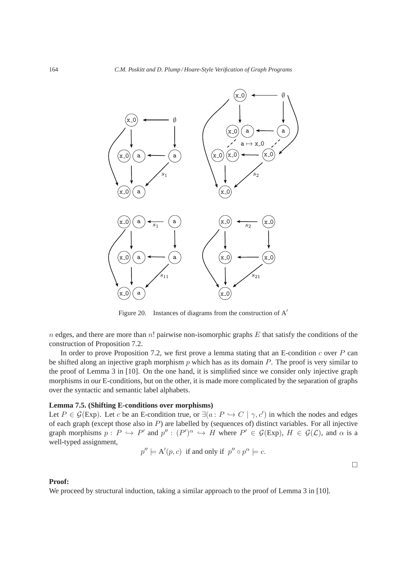

Figure 20. Instances of diagrams from the construction of A′

 $n$  edges, and there are more than  $n!$  pairwise non-isomorphic graphs  $E$  that satisfy the conditions of the construction of Proposition 7.2.

In order to prove Proposition 7.2, we first prove a lemma stating that an E-condition  $c$  over  $P$  can be shifted along an injective graph morphism  $p$  which has as its domain  $P$ . The proof is very similar to the proof of Lemma 3 in [10]. On the one hand, it is simplified since we consider only injective graph morphisms in our E-conditions, but on the other, it is made more complicated by the separation of graphs over the syntactic and semantic label alphabets.

## **Lemma 7.5. (Shifting E-conditions over morphisms)**

Let  $P \in \mathcal{G}(\text{Exp})$ . Let c be an E-condition true, or  $\exists (a : P \hookrightarrow C \mid \gamma, c')$  in which the nodes and edges of each graph (except those also in  $P$ ) are labelled by (sequences of) distinct variables. For all injective graph morphisms  $p: P \hookrightarrow P'$  and  $p'': (P')^{\alpha} \hookrightarrow H$  where  $P' \in \mathcal{G}(\mathrm{Exp})$ ,  $H \in \mathcal{G}(\mathcal{L})$ , and  $\alpha$  is a well-typed assignment,

$$
p'' \models A'(p, c) \text{ if and only if } p'' \circ p^{\alpha} \models c.
$$

 $\Box$ 

### **Proof:**

We proceed by structural induction, taking a similar approach to the proof of Lemma 3 in [10].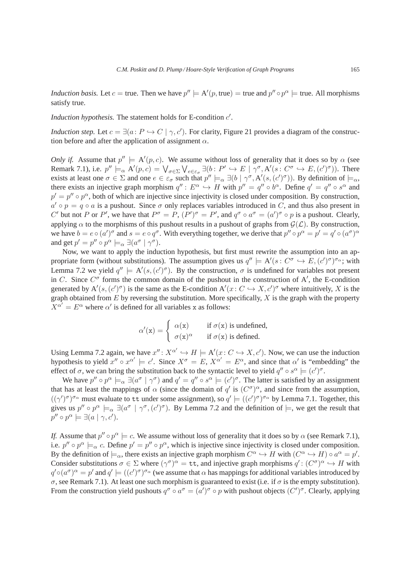*Induction basis.* Let  $c =$  true. Then we have  $p'' \models A'(p, \text{true}) =$  true and  $p'' \circ p^{\alpha} \models$  true. All morphisms satisfy true.

*Induction hypothesis.* The statement holds for E-condition  $c'$ .

*Induction step.* Let  $c = \exists (a : P \hookrightarrow C \mid \gamma, c')$ . For clarity, Figure 21 provides a diagram of the construction before and after the application of assignment  $\alpha$ .

*Only if.* Assume that  $p'' \models A'(p, c)$ . We assume without loss of generality that it does so by  $\alpha$  (see Remark 7.1), i.e.  $p'' \models_{\alpha} A'(p, c) = \bigvee_{\sigma \in \Sigma} \bigvee_{e \in \varepsilon_{\sigma}} \exists (b : P' \hookrightarrow E \mid \gamma^{\sigma}, A'(s : C^{\sigma} \hookrightarrow E, (c')^{\sigma}))$ . There exists at least one  $\sigma \in \Sigma$  and one  $e \in \varepsilon_{\sigma}$  such that  $p'' \models_{\alpha} \exists (b \mid \gamma^{\sigma}, A'(s, (c')^{\sigma}))$ . By definition of  $\models_{\alpha}$ , there exists an injective graph morphism  $q'' : E^{\alpha} \hookrightarrow H$  with  $p'' = q'' \circ b^{\alpha}$ . Define  $q' = q'' \circ s^{\alpha}$  and  $p' = p'' \circ p^{\alpha}$ , both of which are injective since injectivity is closed under composition. By construction,  $a' \circ p = q \circ a$  is a pushout. Since  $\sigma$  only replaces variables introduced in C, and thus also present in C' but not P or P', we have that  $P^{\sigma} = P$ ,  $(P')^{\sigma} = P'$ , and  $q^{\sigma} \circ a^{\sigma} = (a')^{\sigma} \circ p$  is a pushout. Clearly, applying  $\alpha$  to the morphisms of this pushout results in a pushout of graphs from  $\mathcal{G}(\mathcal{L})$ . By construction, we have  $b = e \circ (a')^{\sigma}$  and  $s = e \circ q^{\sigma}$ . With everything together, we derive that  $p'' \circ p^{\alpha} = p' = q' \circ (a^{\sigma})^{\alpha}$ and get  $p' = p'' \circ p^{\alpha} \models_{\alpha} \exists (a^{\sigma} \mid \gamma^{\sigma}).$ 

Now, we want to apply the induction hypothesis, but first must rewrite the assumption into an appropriate form (without substitutions). The assumption gives us  $q'' \models A'(s: C^{\sigma} \hookrightarrow E, (c')^{\sigma})^{\sigma_{\alpha}}$ ; with Lemma 7.2 we yield  $q'' \models A'(s,(c')^{\sigma})$ . By the construction,  $\sigma$  is undefined for variables not present in C. Since  $C^{\sigma}$  forms the common domain of the pushout in the construction of A', the E-condition generated by  $A'(s,(c')^{\sigma})$  is the same as the E-condition  $A'(x: C \hookrightarrow X, c')^{\sigma}$  where intuitively, X is the graph obtained from  $E$  by reversing the substitution. More specifically,  $X$  is the graph with the property  $X^{\alpha'} = E^{\alpha}$  where  $\alpha'$  is defined for all variables x as follows:

$$
\alpha'(x) = \begin{cases} \alpha(x) & \text{if } \sigma(x) \text{ is undefined,} \\ \sigma(x)^{\alpha} & \text{if } \sigma(x) \text{ is defined.} \end{cases}
$$

Using Lemma 7.2 again, we have  $x'' : X^{\alpha'} \hookrightarrow H \models A'(x : C \hookrightarrow X, c')$ . Now, we can use the induction hypothesis to yield  $x'' \circ x^{\alpha'} \models c'$ . Since  $X^{\sigma} = E$ ,  $X^{\alpha'} = E^{\alpha}$ , and since that  $\alpha'$  is "embedding" the effect of  $\sigma$ , we can bring the substitution back to the syntactic level to yield  $q'' \circ s^{\alpha} \models (c')^{\sigma}$ .

We have  $p'' \circ p^{\alpha} \models_{\alpha} \exists (a^{\sigma} \mid \gamma^{\sigma})$  and  $q' = q'' \circ s^{\alpha} \models (c')^{\sigma}$ . The latter is satisfied by an assignment that has at least the mappings of  $\alpha$  (since the domain of  $q'$  is  $(C^{\sigma})^{\alpha}$ , and since from the assumption,  $((\gamma')^{\sigma})^{\sigma_{\alpha}}$  must evaluate to tt under some assignment), so  $q' \models ((c')^{\sigma})^{\sigma_{\alpha}}$  by Lemma 7.1. Together, this gives us  $p'' \circ p^{\alpha} \models_{\alpha} \exists (a^{\sigma} \mid \gamma^{\sigma}, (c')^{\sigma})$ . By Lemma 7.2 and the definition of  $\models$ , we get the result that  $p'' \circ p^{\alpha} \models \exists (a \mid \gamma, c').$ 

*If.* Assume that  $p'' \circ p^{\alpha} \models c$ . We assume without loss of generality that it does so by  $\alpha$  (see Remark 7.1), i.e.  $p'' \circ p^{\alpha} \models_{\alpha} c$ . Define  $p' = p'' \circ p^{\alpha}$ , which is injective since injectivity is closed under composition. By the definition of  $\models_{\alpha}$ , there exists an injective graph morphism  $C^{\alpha} \hookrightarrow H$  with  $(C^{\alpha} \hookrightarrow H) \circ a^{\alpha} = p'$ . Consider substitutions  $\sigma \in \Sigma$  where  $(\gamma^{\sigma})^{\alpha} = \tau \tau$ , and injective graph morphisms  $q' : (C^{\sigma})^{\alpha} \hookrightarrow H$  with  $q' \circ (a^{\sigma})^{\alpha} = p'$  and  $q' \models ((c')^{\sigma})^{\sigma_{\alpha}}$  (we assume that  $\alpha$  has mappings for additional variables introduced by σ, see Remark 7.1). At least one such morphism is guaranteed to exist (i.e. if σ is the empty substitution). From the construction yield pushouts  $q^{\sigma} \circ a^{\sigma} = (a')^{\sigma} \circ p$  with pushout objects  $(C')^{\sigma}$ . Clearly, applying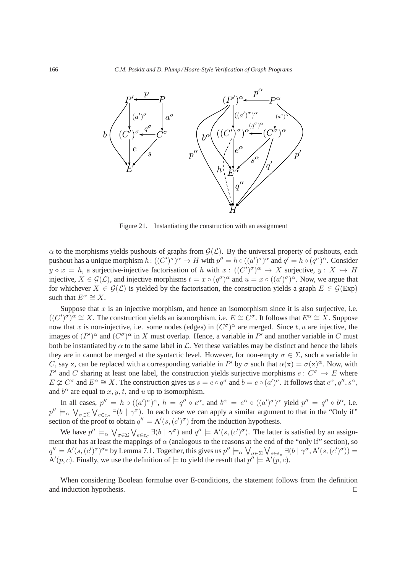

Figure 21. Instantiating the construction with an assignment

 $\alpha$  to the morphisms yields pushouts of graphs from  $\mathcal{G}(\mathcal{L})$ . By the universal property of pushouts, each pushout has a unique morphism  $h: ((C')^{\sigma})^{\alpha} \to H$  with  $p'' = h \circ ((a')^{\sigma})^{\alpha}$  and  $q' = h \circ (q^{\sigma})^{\alpha}$ . Consider  $y \circ x = h$ , a surjective-injective factorisation of h with  $x : ((C')^{\sigma})^{\alpha} \to X$  surjective,  $y : X \hookrightarrow H$ injective,  $X \in \mathcal{G}(\mathcal{L})$ , and injective morphisms  $t = x \circ (q^{\sigma})^{\alpha}$  and  $u = x \circ ((a')^{\sigma})^{\alpha}$ . Now, we argue that for whichever  $X \in \mathcal{G}(\mathcal{L})$  is yielded by the factorisation, the construction yields a graph  $E \in \mathcal{G}(\mathrm{Exp})$ such that  $E^{\alpha} \cong X$ .

Suppose that  $x$  is an injective morphism, and hence an isomorphism since it is also surjective, i.e.  $((C')^{\sigma})^{\alpha} \cong X$ . The construction yields an isomorphism, i.e.  $E \cong C^{\sigma}$ . It follows that  $E^{\alpha} \cong X$ . Suppose now that x is non-injective, i.e. some nodes (edges) in  $(C^{\sigma})^{\alpha}$  are merged. Since  $t, u$  are injective, the images of  $(P')^{\alpha}$  and  $(C^{\sigma})^{\alpha}$  in X must overlap. Hence, a variable in P' and another variable in C must both be instantiated by  $\alpha$  to the same label in  $\mathcal{L}$ . Yet these variables may be distinct and hence the labels they are in cannot be merged at the syntactic level. However, for non-empty  $\sigma \in \Sigma$ , such a variable in C, say x, can be replaced with a corresponding variable in P' by  $\sigma$  such that  $\alpha(x) = \sigma(x)^\alpha$ . Now, with P' and C sharing at least one label, the construction yields surjective morphisms  $e: C^{\sigma} \to E$  where  $E \not\cong C^{\sigma}$  and  $E^{\alpha} \cong X$ . The construction gives us  $s = e \circ q^{\sigma}$  and  $b = e \circ (a')^{\sigma}$ . It follows that  $e^{\alpha}, q'', s^{\alpha}$ , and  $b^{\alpha}$  are equal to  $x, y, t$ , and  $u$  up to isomorphism.

In all cases,  $p'' = h \circ ((a')^{\sigma})^{\alpha}$ ,  $h = q'' \circ e^{\alpha}$ , and  $b^{\alpha} = e^{\alpha} \circ ((a')^{\sigma})^{\alpha}$  yield  $p'' = q'' \circ b^{\alpha}$ , i.e.  $p'' \models_{\alpha} \bigvee_{\sigma \in \Sigma} \bigvee_{e \in \varepsilon_{\sigma}} \exists (b \mid \gamma^{\sigma})$ . In each case we can apply a similar argument to that in the "Only if" section of the proof to obtain  $q'' \models A'(s, (c')^{\sigma})$  from the induction hypothesis.

We have  $p'' \models_{\alpha} \bigvee_{\sigma \in \Sigma} \bigvee_{e \in \varepsilon_{\sigma}} \exists (b \mid \gamma^{\sigma})$  and  $q'' \models A'(s, (c')^{\sigma})$ . The latter is satisfied by an assignment that has at least the mappings of  $\alpha$  (analogous to the reasons at the end of the "only if" section), so  $q'' \models A'(s, (c')\sigma)_{\sigma\alpha}$  by Lemma 7.1. Together, this gives us  $p'' \models_{\alpha} \bigvee_{\sigma \in \Sigma} \bigvee_{e \in \varepsilon_{\sigma}} \exists (b \mid \gamma^{\sigma}, A'(s, (c')\sigma)) =$  $A'(p, c)$ . Finally, we use the definition of  $\models$  to yield the result that  $p'' \models A'(p, c)$ .

When considering Boolean formulae over E-conditions, the statement follows from the definition and induction hypothesis. □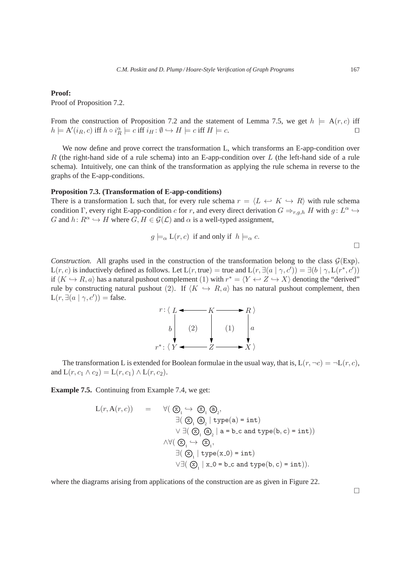Proof of Proposition 7.2.

From the construction of Proposition 7.2 and the statement of Lemma 7.5, we get  $h \models A(r, c)$  iff  $h \models A'(i_R, c)$  iff  $h \circ i_R^{\alpha} \models c$  iff  $i_H: \emptyset \hookrightarrow H \models c$  iff  $H \models c$ .

We now define and prove correct the transformation L, which transforms an E-app-condition over R (the right-hand side of a rule schema) into an E-app-condition over L (the left-hand side of a rule schema). Intuitively, one can think of the transformation as applying the rule schema in reverse to the graphs of the E-app-conditions.

### **Proposition 7.3. (Transformation of E-app-conditions)**

There is a transformation L such that, for every rule schema  $r = \langle L \leftrightarrow K \hookrightarrow R \rangle$  with rule schema condition  $\Gamma$ , every right E-app-condition c for r, and every direct derivation  $G \Rightarrow_{r,g,h} H$  with  $g: L^{\alpha} \hookrightarrow$ G and  $h: R^{\alpha} \hookrightarrow H$  where  $G, H \in \mathcal{G}(\mathcal{L})$  and  $\alpha$  is a well-typed assignment,

$$
g \models_{\alpha} L(r, c)
$$
 if and only if  $h \models_{\alpha} c$ .

*Construction.* All graphs used in the construction of the transformation belong to the class  $G(\text{Exp})$ .  $L(r, c)$  is inductively defined as follows. Let  $L(r, true) =$  true and  $L(r, \exists (a | \gamma, c')) = \exists (b | \gamma, L(r^*, c'))$ if  $\langle K \hookrightarrow R, a \rangle$  has a natural pushout complement (1) with  $r^* = \langle Y \hookleftarrow Z \hookrightarrow X \rangle$  denoting the "derived" rule by constructing natural pushout (2). If  $\langle K \hookrightarrow R, a \rangle$  has no natural pushout complement, then  $L(r, \exists (a | \gamma, c'))$  = false.



The transformation L is extended for Boolean formulae in the usual way, that is,  $L(r, \neg c) = \neg L(r, c)$ , and  $L(r, c_1 \wedge c_2) = L(r, c_1) \wedge L(r, c_2)$ .

**Example 7.5.** Continuing from Example 7.4, we get:

$$
L(r, A(r, c)) = \forall (\mathfrak{D}_1 \hookrightarrow \mathfrak{D}_1 \mathfrak{D}_2, \n\exists (\mathfrak{D}_1 \mathfrak{D}_2 \mid type(a) = int) \n\lor \exists (\mathfrak{D}_1 \mathfrak{D}_2 \mid a = b.c \text{ and type}(b, c) = int)) \n\land \forall (\mathfrak{D}_1 \hookrightarrow \mathfrak{D}_1, \n\exists (\mathfrak{D}_1 \mid type(x_0) = int) \n\lor \exists (\mathfrak{D}_1 \mid x_0 = b_c \text{ and type}(b, c) = int)).
$$

where the diagrams arising from applications of the construction are as given in Figure 22.

 $\Box$ 

 $\Box$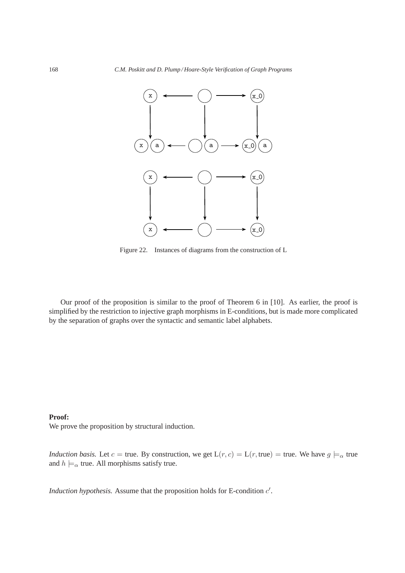

Figure 22. Instances of diagrams from the construction of L

Our proof of the proposition is similar to the proof of Theorem 6 in [10]. As earlier, the proof is simplified by the restriction to injective graph morphisms in E-conditions, but is made more complicated by the separation of graphs over the syntactic and semantic label alphabets.

## **Proof:**

We prove the proposition by structural induction.

*Induction basis.* Let  $c = \text{true}$ . By construction, we get  $L(r, c) = L(r, \text{true}) = \text{true}$ . We have  $g \models_{\alpha} \text{true}$ and  $h \models_{\alpha}$  true. All morphisms satisfy true.

*Induction hypothesis.* Assume that the proposition holds for E-condition  $c'$ .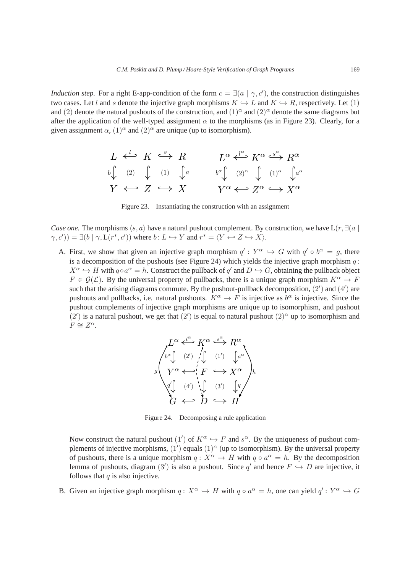*Induction step.* For a right E-app-condition of the form  $c = \exists (a \mid \gamma, c')$ , the construction distinguishes two cases. Let l and s denote the injective graph morphisms  $K \hookrightarrow L$  and  $K \hookrightarrow R$ , respectively. Let (1) and (2) denote the natural pushouts of the construction, and  $(1)^{\alpha}$  and  $(2)^{\alpha}$  denote the same diagrams but after the application of the well-typed assignment  $\alpha$  to the morphisms (as in Figure 23). Clearly, for a given assignment  $\alpha$ ,  $(1)^{\alpha}$  and  $(2)^{\alpha}$  are unique (up to isomorphism).

$$
L \stackrel{l}{\longleftrightarrow} K \stackrel{s}{\longleftrightarrow} R \qquad L^{\alpha} \stackrel{l^{\alpha}}{\longleftrightarrow} K^{\alpha} \stackrel{s^{\alpha}}{\longleftrightarrow} R^{\alpha}
$$
  

$$
\stackrel{b \downarrow}{\downarrow} \stackrel{(2)}{\downarrow} \stackrel{(1)}{\downarrow} \stackrel{l}{\downarrow}{}^a \qquad \stackrel{b^{\alpha} \downarrow}{\downarrow} \stackrel{(2)^{\alpha}}{\downarrow} \stackrel{(1)^{\alpha}}{\longleftarrow} \stackrel{l^{\alpha}}{\downarrow}{}^{\alpha}
$$
  

$$
Y \stackrel{\longleftarrow}{\longleftarrow} Z \stackrel{\longleftarrow}{\longrightarrow} X \qquad Y^{\alpha} \stackrel{\longleftarrow}{\longleftarrow} Z^{\alpha} \stackrel{\longleftarrow}{\longrightarrow} X^{\alpha}
$$

Figure 23. Instantiating the construction with an assignment

*Case one.* The morphisms  $\langle s, a \rangle$  have a natural pushout complement. By construction, we have L(r,  $\exists a \mid$  $(\gamma, c')$ ) =  $\exists (b \mid \gamma, L(r^*, c'))$  where  $b: L \hookrightarrow Y$  and  $r^* = \langle Y \leftrightarrow Z \hookrightarrow X \rangle$ .

A. First, we show that given an injective graph morphism  $q': Y^{\alpha} \hookrightarrow G$  with  $q' \circ b^{\alpha} = g$ , there is a decomposition of the pushouts (see Figure 24) which yields the injective graph morphism  $q$ :  $X^{\alpha} \hookrightarrow H$  with  $q \circ a^{\alpha} = h$ . Construct the pullback of  $q'$  and  $D \hookrightarrow G$ , obtaining the pullback object  $F \in \mathcal{G}(\mathcal{L})$ . By the universal property of pullbacks, there is a unique graph morphism  $K^{\alpha} \to F$ such that the arising diagrams commute. By the pushout-pullback decomposition,  $(2')$  and  $(4')$  are pushouts and pullbacks, i.e. natural pushouts.  $K^{\alpha} \to F$  is injective as  $b^{\alpha}$  is injective. Since the pushout complements of injective graph morphisms are unique up to isomorphism, and pushout (2') is a natural pushout, we get that (2') is equal to natural pushout (2)<sup> $\alpha$ </sup> up to isomorphism and  $F \cong Z^{\alpha}$ .



Figure 24. Decomposing a rule application

Now construct the natural pushout  $(1')$  of  $K^{\alpha} \hookrightarrow F$  and  $s^{\alpha}$ . By the uniqueness of pushout complements of injective morphisms,  $(1')$  equals  $(1)^\alpha$  (up to isomorphism). By the universal property of pushouts, there is a unique morphism  $q: X^{\alpha} \to H$  with  $q \circ a^{\alpha} = h$ . By the decomposition lemma of pushouts, diagram  $(3')$  is also a pushout. Since q' and hence  $F \hookrightarrow D$  are injective, it follows that  $q$  is also injective.

B. Given an injective graph morphism  $q: X^{\alpha} \hookrightarrow H$  with  $q \circ a^{\alpha} = h$ , one can yield  $q': Y^{\alpha} \hookrightarrow G$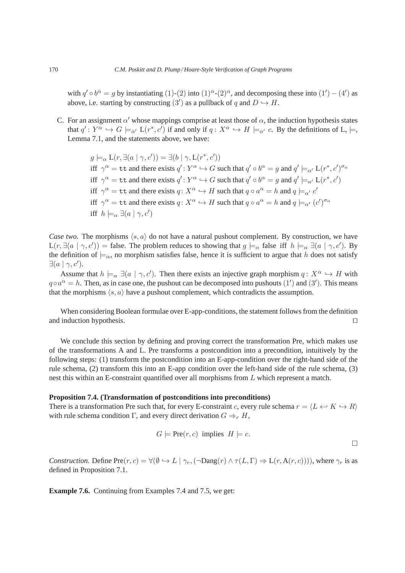with  $q' \circ b^{\alpha} = g$  by instantiating (1)-(2) into  $(1)^{\alpha}$ -(2)<sup> $\alpha$ </sup>, and decomposing these into  $(1') - (4')$  as above, i.e. starting by constructing  $(3')$  as a pullback of q and  $D \hookrightarrow H$ .

C. For an assignment  $\alpha'$  whose mappings comprise at least those of  $\alpha$ , the induction hypothesis states that  $q': Y^{\alpha} \hookrightarrow G \models_{\alpha'} L(r^*, c')$  if and only if  $q: X^{\alpha} \hookrightarrow H \models_{\alpha'} c$ . By the definitions of L,  $\models$ , Lemma 7.1, and the statements above, we have:

> $g \models_{\alpha} L(r, \exists (a | \gamma, c')) = \exists (b | \gamma, L(r^*, c'))$ iff  $\gamma^{\alpha} = \texttt{tt}$  and there exists  $q' : Y^{\alpha} \hookrightarrow G$  such that  $q' \circ b^{\alpha} = g$  and  $q' \models_{\alpha'} L(r^*, c')^{\sigma_{\alpha}}$ iff  $\gamma^{\alpha} = \text{tt}$  and there exists  $q' : Y^{\alpha} \hookrightarrow G$  such that  $q' \circ b^{\alpha} = g$  and  $q' \models_{\alpha'} L(r^*, c')$ iff  $\gamma^{\alpha} = \text{tt}$  and there exists  $q: X^{\alpha} \hookrightarrow H$  such that  $q \circ a^{\alpha} = h$  and  $q \models_{\alpha'} c'$ iff  $\gamma^{\alpha} = \text{tt}$  and there exists  $q \colon X^{\alpha} \hookrightarrow H$  such that  $q \circ a^{\alpha} = h$  and  $q \models_{\alpha'} (c')^{\sigma_{\alpha}}$ iff  $h \models_{\alpha} \exists (a \mid \gamma, c')$

*Case two.* The morphisms  $\langle s, a \rangle$  do not have a natural pushout complement. By construction, we have  $L(r, \exists (a | \gamma, c')) = \text{false}$ . The problem reduces to showing that  $g \models_{\alpha} \text{false}$  iff  $h \models_{\alpha} \exists (a | \gamma, c')$ . By the definition of  $\models_\alpha$ , no morphism satisfies false, hence it is sufficient to argue that h does not satisfy  $\exists (a | \gamma, c').$ 

Assume that  $h \models_{\alpha} \exists (a \mid \gamma, c')$ . Then there exists an injective graph morphism  $q: X^{\alpha} \hookrightarrow H$  with  $q \circ a^{\alpha} = h$ . Then, as in case one, the pushout can be decomposed into pushouts (1') and (3'). This means that the morphisms  $\langle s, a \rangle$  have a pushout complement, which contradicts the assumption.

When considering Boolean formulae over E-app-conditions, the statement follows from the definition and induction hypothesis. ⊓⊔

We conclude this section by defining and proving correct the transformation Pre, which makes use of the transformations A and L. Pre transforms a postcondition into a precondition, intuitively by the following steps: (1) transform the postcondition into an E-app-condition over the right-hand side of the rule schema, (2) transform this into an E-app condition over the left-hand side of the rule schema, (3) nest this within an E-constraint quantified over all morphisms from L which represent a match.

#### **Proposition 7.4. (Transformation of postconditions into preconditions)**

There is a transformation Pre such that, for every E-constraint c, every rule schema  $r = \langle L \leftrightarrow K \to R \rangle$ with rule schema condition Γ, and every direct derivation  $G \Rightarrow_{r} H$ ,

$$
G \models \text{Pre}(r, c) \text{ implies } H \models c. \Box
$$

*Construction.* Define  $Pre(r, c) = \forall (\emptyset \hookrightarrow L \mid \gamma_r, (\neg \text{Dang}(r) \land \tau(L, \Gamma) \Rightarrow L(r, A(r, c))))$ , where  $\gamma_r$  is as defined in Proposition 7.1.

**Example 7.6.** Continuing from Examples 7.4 and 7.5, we get: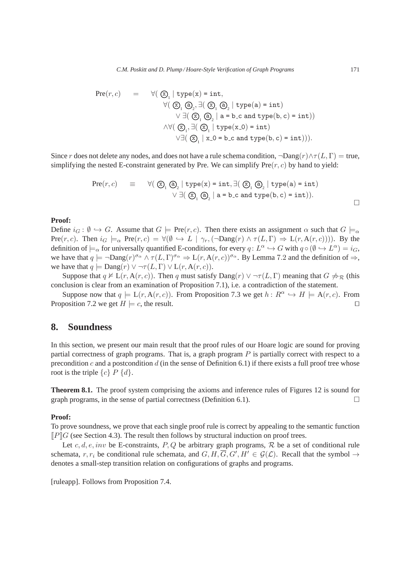$$
\begin{array}{lcl} \mathrm{Pre}(r,c) & = & \forall (\bigotimes_{1} \mid \mathrm{type}(x) = \mathrm{int}, \\ & & \forall (\bigotimes_{1} \textcircled{3}_{2}, \exists (\bigotimes_{1} \textcircled{3}_{2} \mid \mathrm{type}(a) = \mathrm{int}) \\ & & \forall \exists (\bigotimes_{1} \textcircled{3}_{2} \mid a = b \text{ c and type}(b,c) = \mathrm{int})) \\ & & \land \forall (\bigotimes_{1}, \exists (\bigotimes_{1} \mid \mathrm{type}(x\_0) = \mathrm{int}) \\ & & \lor \exists (\bigotimes_{1} \mid x\_0 = b \text{ c and type}(b,c) = \mathrm{int}))). \end{array}
$$

Since r does not delete any nodes, and does not have a rule schema condition,  $\neg$ Dang $(r) \wedge \tau(L, \Gamma) = \text{true}$ , simplifying the nested E-constraint generated by Pre. We can simplify  $Pre(r, c)$  by hand to yield:

$$
\begin{array}{lcl} \mathrm{Pre}(r,c) & \equiv & \forall (\bigotimes_{1} \textcircled{a}_{2} \mid \text{type}(x) = \text{int}, \exists (\bigotimes_{1} \textcircled{a}_{2} \mid \text{type}(a) = \text{int}) \\ & & \forall \exists (\bigotimes_{1} \textcircled{a}_{2} \mid a = b \text{ c and type}(b,c) = \text{int}) ). \end{array}
$$

## **Proof:**

Define  $i_G : \emptyset \hookrightarrow G$ . Assume that  $G \models \text{Pre}(r, c)$ . Then there exists an assignment  $\alpha$  such that  $G \models_{\alpha}$ Pre $(r, c)$ . Then  $i_G \models_{\alpha} \text{Pre}(r, c) = \forall (\emptyset \hookrightarrow L | \gamma_r, (\neg \text{Dang}(r) \land \tau(L, \Gamma) \Rightarrow L(r, A(r, c))))$ . By the definition of  $\models_\alpha$  for universally quantified E-conditions, for every  $q: L^\alpha \hookrightarrow G$  with  $q \circ (\emptyset \hookrightarrow L^\alpha) = i_G$ , we have that  $q \models \neg \text{Dang}(r)^{\sigma_{\alpha}} \land \tau(L, \Gamma)^{\sigma_{\alpha}} \Rightarrow L(r, A(r, c))^{\sigma_{\alpha}}$ . By Lemma 7.2 and the definition of  $\Rightarrow$ , we have that  $q \models \text{Dang}(r) \lor \neg \tau(L, \Gamma) \lor L(r, A(r, c)).$ 

Suppose that  $q \nvDash L(r, A(r, c))$ . Then q must satisfy  $\text{Dang}(r) \vee \neg \tau(L, \Gamma)$  meaning that  $G \npreceq_{\mathcal{R}}$  (this conclusion is clear from an examination of Proposition 7.1), i.e. a contradiction of the statement.

Suppose now that  $q \models L(r, A(r, c))$ . From Proposition 7.3 we get  $h: R^{\alpha} \hookrightarrow H \models A(r, c)$ . From Proposition 7.2 we get  $H \models c$ , the result. □

# **8. Soundness**

In this section, we present our main result that the proof rules of our Hoare logic are sound for proving partial correctness of graph programs. That is, a graph program  $P$  is partially correct with respect to a precondition c and a postcondition d (in the sense of Definition 6.1) if there exists a full proof tree whose root is the triple  $\{c\}$  P  $\{d\}$ .

**Theorem 8.1.** The proof system comprising the axioms and inference rules of Figures 12 is sound for graph programs, in the sense of partial correctness (Definition 6.1).  $\Box$ 

#### **Proof:**

To prove soundness, we prove that each single proof rule is correct by appealing to the semantic function  $\llbracket P \rrbracket G$  (see Section 4.3). The result then follows by structural induction on proof trees.

Let c, d, e, inv be E-constraints, P, Q be arbitrary graph programs, R be a set of conditional rule schemata,  $r, r_i$  be conditional rule schemata, and  $G, H, \overline{G}, G', H' \in \mathcal{G}(\mathcal{L})$ . Recall that the symbol  $\rightarrow$ denotes a small-step transition relation on configurations of graphs and programs.

[ruleapp]. Follows from Proposition 7.4.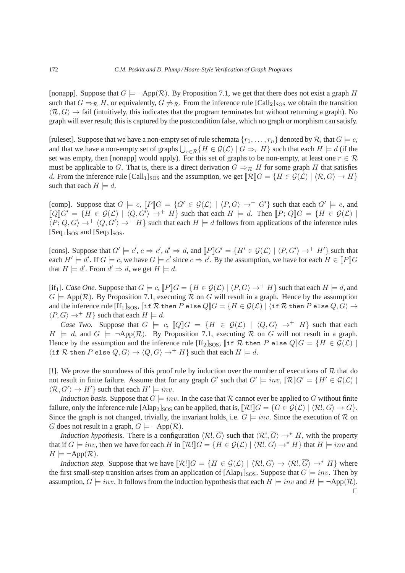[nonapp]. Suppose that  $G \models \neg \text{App}(\mathcal{R})$ . By Proposition 7.1, we get that there does not exist a graph H such that  $G \Rightarrow_R H$ , or equivalently,  $G \not\Rightarrow_R$ . From the inference rule  $\text{[Call}_2\text{]SOS}$  we obtain the transition  $\langle \mathcal{R}, G \rangle \to$  fail (intuitively, this indicates that the program terminates but without returning a graph). No graph will ever result; this is captured by the postcondition false, which no graph or morphism can satisfy.

[ruleset]. Suppose that we have a non-empty set of rule schemata  $\{r_1, \ldots, r_n\}$  denoted by R, that  $G \models c$ , and that we have a non-empty set of graphs  $\bigcup_{r\in\mathcal{R}}\{H\in\mathcal{G}(\mathcal{L})\mid G\Rightarrow_{r}H\}$  such that each  $H\models d$  (if the set was empty, then [nonapp] would apply). For this set of graphs to be non-empty, at least one  $r \in \mathcal{R}$ must be applicable to G. That is, there is a direct derivation  $G \Rightarrow_R H$  for some graph H that satisfies d. From the inference rule  $\text{[Call}_1\text{]SOS}$  and the assumption, we get  $\mathbb{R}\mathbb{C}G = \{H \in \mathcal{G}(\mathcal{L}) \mid \langle \mathcal{R}, G \rangle \to H\}$ such that each  $H \models d$ .

[comp]. Suppose that  $G \models c$ ,  $[P]G = \{G' \in \mathcal{G}(\mathcal{L}) \mid \langle P, G \rangle \rightarrow^+ G'\}$  such that each  $G' \models e$ , and  $\llbracket Q \rrbracket G' = \{ H \in \mathcal{G}(\mathcal{L}) \mid \langle Q, G' \rangle \rightarrow^+ H \}$  such that each  $H \models d$ . Then  $\llbracket P; Q \rrbracket G = \{ H \in \mathcal{G}(\mathcal{L}) \mid$  $\langle P; Q, G \rangle \rightarrow^+ \langle Q, G' \rangle \rightarrow^+ H$  such that each  $H \models d$  follows from applications of the inference rules  $[Seq<sub>1</sub>]$ <sub>SOS</sub> and  $[Seq<sub>2</sub>]$ <sub>SOS</sub>.

[cons]. Suppose that  $G' \models c', c \Rightarrow c', d' \Rightarrow d$ , and  $[P]G' = \{H' \in \mathcal{G}(\mathcal{L}) \mid \langle P, G' \rangle \rightarrow^+ H'\}$  such that each  $H' \models d'$ . If  $G \models c$ , we have  $G \models c'$  since  $c \Rightarrow c'$ . By the assumption, we have for each  $H \in [P]$   $G$ that  $H \models d'$ . From  $d' \Rightarrow d$ , we get  $H \models d$ .

[if<sub>1</sub>]. *Case One.* Suppose that  $G \models c$ ,  $[ P \parallel G = \{ H \in \mathcal{G}(\mathcal{L}) \mid \langle P, G \rangle \rightarrow^+ H \}$  such that each  $H \models d$ , and  $G \models App(R)$ . By Proposition 7.1, executing R on G will result in a graph. Hence by the assumption and the inference rule  $[[f_1]_{SOS}$ ,  $[\exists f \mathcal{R}]$  then  $P$  else  $Q||G = \{H \in \mathcal{G}(\mathcal{L}) \mid \forall f \mathcal{R} \}$  then  $P$  else  $Q, G \rightarrow$  $\langle P, G \rangle \rightarrow^+ H$  such that each  $H \models d$ .

*Case Two.* Suppose that  $G \models c$ ,  $[Q]G = \{H \in \mathcal{G}(\mathcal{L}) \mid \langle Q, G \rangle \rightarrow^+ H\}$  such that each  $H \models d$ , and  $G \models \neg \text{App}(\mathcal{R})$ . By Proposition 7.1, executing  $\mathcal{R}$  on G will not result in a graph. Hence by the assumption and the inference rule  $[\text{If}_2]_{SOS}$ ,  $[\text{if } R \text{ then } P \text{ else } Q]G = \{H \in \mathcal{G}(\mathcal{L}) \mid \text{if } R \text{ else } Q\}$  $\{\text{if } \mathcal{R} \text{ then } P \text{ else } Q, G\} \rightarrow \langle Q, G \rangle \rightarrow^+ H\} \text{ such that each } H \models d.$ 

[!]. We prove the soundness of this proof rule by induction over the number of executions of  $R$  that do not result in finite failure. Assume that for any graph G' such that  $G' \models inv, \llbracket \mathcal{R} \rrbracket G' = \{H' \in \mathcal{G}(\mathcal{L}) \mid$  $\langle \mathcal{R}, G' \rangle \to H'$  such that each  $H' \models inv$ .

*Induction basis.* Suppose that  $G \models inv$ . In the case that R cannot ever be applied to G without finite failure, only the inference rule  $[A\text{lap}_2]_{SOS}$  can be applied, that is,  $[\mathcal{R}]\mathcal{G} = \{G \in \mathcal{G}(\mathcal{L}) \mid \langle \mathcal{R}, G \rangle \to G\}.$ Since the graph is not changed, trivially, the invariant holds, i.e.  $G \models inv$ . Since the execution of R on G does not result in a graph,  $G \models \neg \text{App}(\mathcal{R})$ .

*Induction hypothesis.* There is a configuration  $\langle \mathcal{R} \cdot \cdot, \overline{G} \rangle$  such that  $\langle \mathcal{R} \cdot \cdot, \overline{G} \rangle \rightarrow^* H$ , with the property that if  $\overline{G} \models inv$ , then we have for each H in  $\overline{\mathcal{R}} \cdot \overline{\mathcal{G}} = \{H \in \mathcal{G}(\mathcal{L}) \mid \langle \mathcal{R}, \overline{G} \rangle \rightarrow^* H \}$  that  $H \models inv$  and  $H \models \neg \text{App}(\mathcal{R}).$ 

*Induction step.* Suppose that we have  $[\mathcal{R}]\mathcal{G} = \{H \in \mathcal{G}(\mathcal{L}) \mid \langle \mathcal{R}.\mathcal{G} \rangle \rightarrow \langle \mathcal{R}.\mathcal{G} \rangle \rightarrow^* H\}$  where the first small-step transition arises from an application of  $[Alap_1]_{SOS}$ . Suppose that  $G \models inv$ . Then by assumption,  $\overline{G} \models inv$ . It follows from the induction hypothesis that each  $H \models inv$  and  $H \models \neg \text{App}(\mathcal{R})$ . ⊓⊔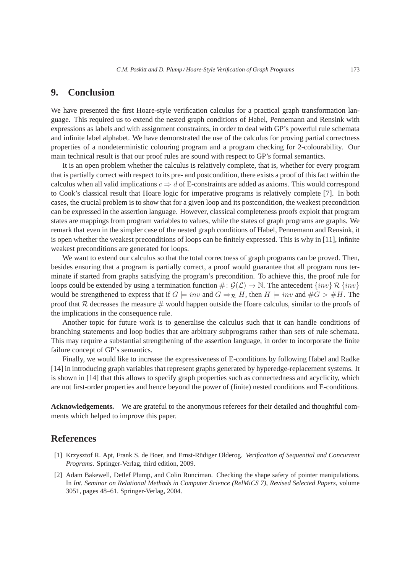## **9. Conclusion**

We have presented the first Hoare-style verification calculus for a practical graph transformation language. This required us to extend the nested graph conditions of Habel, Pennemann and Rensink with expressions as labels and with assignment constraints, in order to deal with GP's powerful rule schemata and infinite label alphabet. We have demonstrated the use of the calculus for proving partial correctness properties of a nondeterministic colouring program and a program checking for 2-colourability. Our main technical result is that our proof rules are sound with respect to GP's formal semantics.

It is an open problem whether the calculus is relatively complete, that is, whether for every program that is partially correct with respect to its pre- and postcondition, there exists a proof of this fact within the calculus when all valid implications  $c \Rightarrow d$  of E-constraints are added as axioms. This would correspond to Cook's classical result that Hoare logic for imperative programs is relatively complete [7]. In both cases, the crucial problem is to show that for a given loop and its postcondition, the weakest precondition can be expressed in the assertion language. However, classical completeness proofs exploit that program states are mappings from program variables to values, while the states of graph programs are graphs. We remark that even in the simpler case of the nested graph conditions of Habel, Pennemann and Rensink, it is open whether the weakest preconditions of loops can be finitely expressed. This is why in [11], infinite weakest preconditions are generated for loops.

We want to extend our calculus so that the total correctness of graph programs can be proved. Then, besides ensuring that a program is partially correct, a proof would guarantee that all program runs terminate if started from graphs satisfying the program's precondition. To achieve this, the proof rule for loops could be extended by using a termination function  $\# : \mathcal{G}(\mathcal{L}) \to \mathbb{N}$ . The antecedent  $\{inv\} \mathcal{R} \{inv\}$ would be strengthened to express that if  $G \models inv$  and  $G \Rightarrow_{\mathcal{R}} H$ , then  $H \models inv$  and  $\#G > \#H$ . The proof that  $R$  decreases the measure  $\#$  would happen outside the Hoare calculus, similar to the proofs of the implications in the consequence rule.

Another topic for future work is to generalise the calculus such that it can handle conditions of branching statements and loop bodies that are arbitrary subprograms rather than sets of rule schemata. This may require a substantial strengthening of the assertion language, in order to incorporate the finite failure concept of GP's semantics.

Finally, we would like to increase the expressiveness of E-conditions by following Habel and Radke [14] in introducing graph variables that represent graphs generated by hyperedge-replacement systems. It is shown in [14] that this allows to specify graph properties such as connectedness and acyclicity, which are not first-order properties and hence beyond the power of (finite) nested conditions and E-conditions.

**Acknowledgements.** We are grateful to the anonymous referees for their detailed and thoughtful comments which helped to improve this paper.

## **References**

- [1] Krzysztof R. Apt, Frank S. de Boer, and Ernst-Rudiger Olderog. ¨ *Verification of Sequential and Concurrent Programs*. Springer-Verlag, third edition, 2009.
- [2] Adam Bakewell, Detlef Plump, and Colin Runciman. Checking the shape safety of pointer manipulations. In *Int. Seminar on Relational Methods in Computer Science (RelMiCS 7), Revised Selected Papers*, volume 3051, pages 48–61. Springer-Verlag, 2004.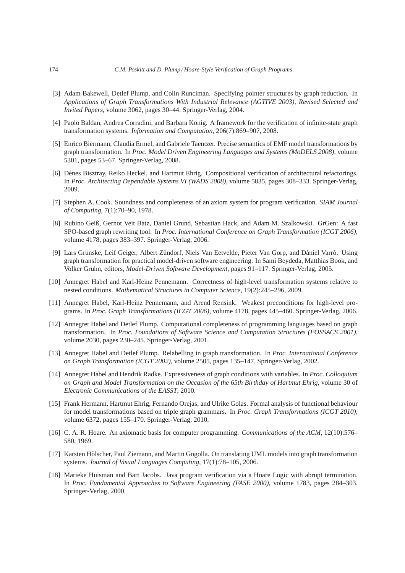- [3] Adam Bakewell, Detlef Plump, and Colin Runciman. Specifying pointer structures by graph reduction. In *Applications of Graph Transformations With Industrial Relevance (AGTIVE 2003), Revised Selected and Invited Papers*, volume 3062, pages 30–44. Springer-Verlag, 2004.
- [4] Paolo Baldan, Andrea Corradini, and Barbara König. A framework for the verification of infinite-state graph transformation systems. *Information and Computation*, 206(7):869–907, 2008.
- [5] Enrico Biermann, Claudia Ermel, and Gabriele Taentzer. Precise semantics of EMF model transformations by graph transformation. In *Proc. Model Driven Engineering Languages and Systems (MoDELS 2008)*, volume 5301, pages 53–67. Springer-Verlag, 2008.
- [6] Dénes Bisztray, Reiko Heckel, and Hartmut Ehrig. Compositional verification of architectural refactorings. In *Proc. Architecting Dependable Systems VI (WADS 2008)*, volume 5835, pages 308–333. Springer-Verlag, 2009.
- [7] Stephen A. Cook. Soundness and completeness of an axiom system for program verification. *SIAM Journal of Computing*, 7(1):70–90, 1978.
- [8] Rubino Geiß, Gernot Veit Batz, Daniel Grund, Sebastian Hack, and Adam M. Szalkowski. GrGen: A fast SPO-based graph rewriting tool. In *Proc. International Conference on Graph Transformation (ICGT 2006)*, volume 4178, pages 383–397. Springer-Verlag, 2006.
- [9] Lars Grunske, Leif Geiger, Albert Zündorf, Niels Van Eetvelde, Pieter Van Gorp, and Dániel Varró. Using graph transformation for practical model-driven software engineering. In Sami Beydeda, Matthias Book, and Volker Gruhn, editors, *Model-Driven Software Development*, pages 91–117. Springer-Verlag, 2005.
- [10] Annegret Habel and Karl-Heinz Pennemann. Correctness of high-level transformation systems relative to nested conditions. *Mathematical Structures in Computer Science*, 19(2):245–296, 2009.
- [11] Annegret Habel, Karl-Heinz Pennemann, and Arend Rensink. Weakest preconditions for high-level programs. In *Proc. Graph Transformations (ICGT 2006)*, volume 4178, pages 445–460. Springer-Verlag, 2006.
- [12] Annegret Habel and Detlef Plump. Computational completeness of programming languages based on graph transformation. In *Proc. Foundations of Software Science and Computation Structures (FOSSACS 2001)*, volume 2030, pages 230–245. Springer-Verlag, 2001.
- [13] Annegret Habel and Detlef Plump. Relabelling in graph transformation. In *Proc. International Conference on Graph Transformation (ICGT 2002)*, volume 2505, pages 135–147. Springer-Verlag, 2002.
- [14] Annegret Habel and Hendrik Radke. Expressiveness of graph conditions with variables. In *Proc. Colloquium on Graph and Model Transformation on the Occasion of the 65th Birthday of Hartmut Ehrig*, volume 30 of *Electronic Communications of the EASST*, 2010.
- [15] Frank Hermann, Hartmut Ehrig, Fernando Orejas, and Ulrike Golas. Formal analysis of functional behaviour for model transformations based on triple graph grammars. In *Proc. Graph Transformations (ICGT 2010)*, volume 6372, pages 155–170. Springer-Verlag, 2010.
- [16] C. A. R. Hoare. An axiomatic basis for computer programming. *Communications of the ACM*, 12(10):576– 580, 1969.
- [17] Karsten Hölscher, Paul Ziemann, and Martin Gogolla. On translating UML models into graph transformation systems. *Journal of Visual Languages Computing*, 17(1):78–105, 2006.
- [18] Marieke Huisman and Bart Jacobs. Java program verification via a Hoare Logic with abrupt termination. In *Proc. Fundamental Approaches to Software Engineering (FASE 2000)*, volume 1783, pages 284–303. Springer-Verlag, 2000.